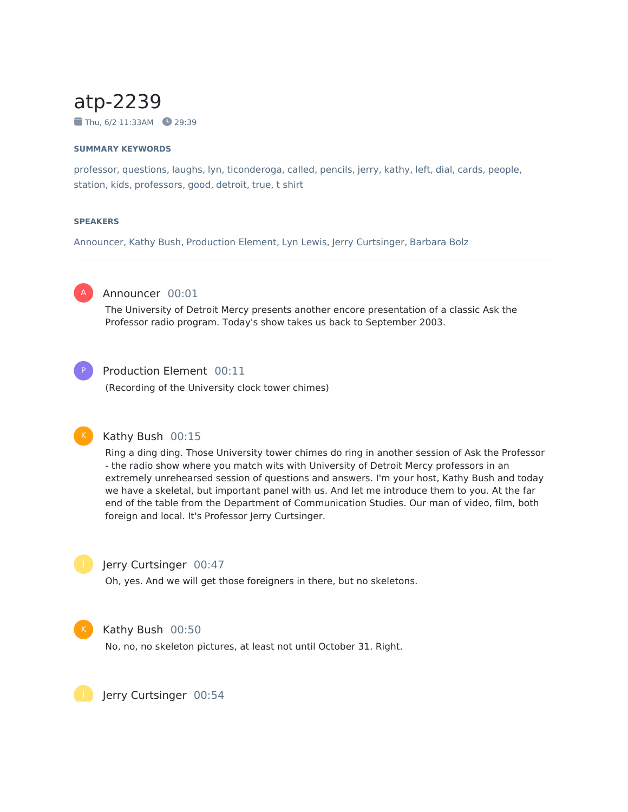# atp-2239

 $\blacksquare$  Thu, 6/2 11:33AM  $\blacksquare$  29:39

#### **SUMMARY KEYWORDS**

professor, questions, laughs, lyn, ticonderoga, called, pencils, jerry, kathy, left, dial, cards, people, station, kids, professors, good, detroit, true, t shirt

#### **SPEAKERS**

Announcer, Kathy Bush, Production Element, Lyn Lewis, Jerry Curtsinger, Barbara Bolz



## Announcer 00:01

The University of Detroit Mercy presents another encore presentation of a classic Ask the Professor radio program. Today's show takes us back to September 2003.



#### Production Element 00:11

(Recording of the University clock tower chimes)



## Kathy Bush 00:15

Ring a ding ding. Those University tower chimes do ring in another session of Ask the Professor - the radio show where you match wits with University of Detroit Mercy professors in an extremely unrehearsed session of questions and answers. I'm your host, Kathy Bush and today we have a skeletal, but important panel with us. And let me introduce them to you. At the far end of the table from the Department of Communication Studies. Our man of video, film, both foreign and local. It's Professor Jerry Curtsinger.



#### Jerry Curtsinger 00:47

Oh, yes. And we will get those foreigners in there, but no skeletons.



#### Kathy Bush 00:50

No, no, no skeleton pictures, at least not until October 31. Right.

Jerry Curtsinger 00:54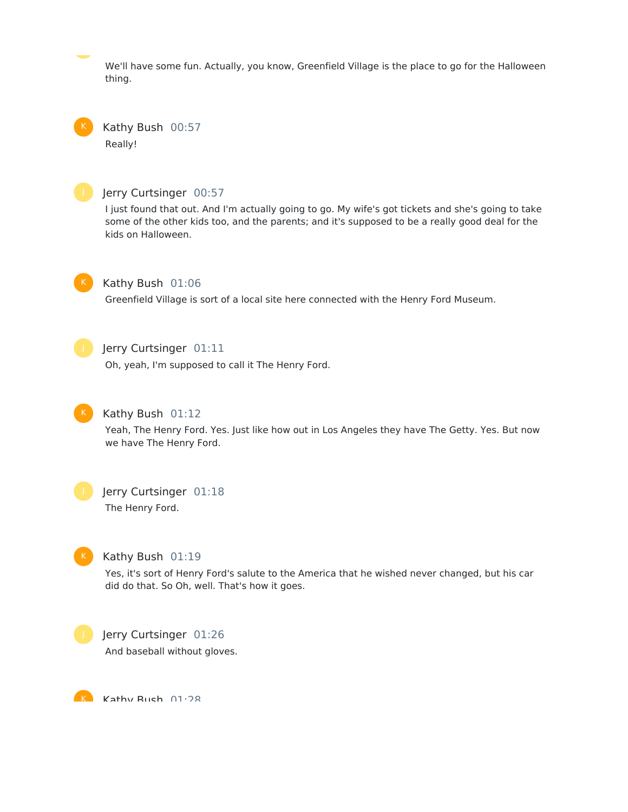We'll have some fun. Actually, you know, Greenfield Village is the place to go for the Halloween thing.

Kathy Bush 00:57 Really!



#### Jerry Curtsinger 00:57

I just found that out. And I'm actually going to go. My wife's got tickets and she's going to take some of the other kids too, and the parents; and it's supposed to be a really good deal for the kids on Halloween.



#### Kathy Bush 01:06

Greenfield Village is sort of a local site here connected with the Henry Ford Museum.



#### Jerry Curtsinger 01:11

Oh, yeah, I'm supposed to call it The Henry Ford.



### Kathy Bush 01:12

Yeah, The Henry Ford. Yes. Just like how out in Los Angeles they have The Getty. Yes. But now we have The Henry Ford.



## Jerry Curtsinger 01:18

The Henry Ford.



#### Kathy Bush 01:19

Yes, it's sort of Henry Ford's salute to the America that he wished never changed, but his car did do that. So Oh, well. That's how it goes.



#### Jerry Curtsinger 01:26

And baseball without gloves.

K Kathy Ruch 01.28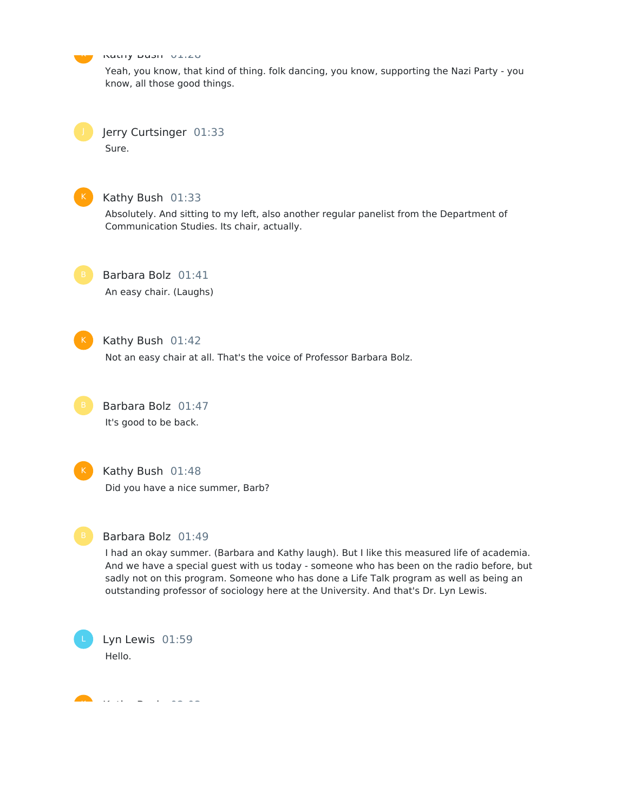Kathy Dush 01:20  $\mathbf{K}$ 

> Yeah, you know, that kind of thing. folk dancing, you know, supporting the Nazi Party - you know, all those good things.

Jerry Curtsinger 01:33 Sure.



#### Kathy Bush 01:33

Absolutely. And sitting to my left, also another regular panelist from the Department of Communication Studies. Its chair, actually.



#### Barbara Bolz 01:41

An easy chair. (Laughs)



#### Kathy Bush 01:42

Not an easy chair at all. That's the voice of Professor Barbara Bolz.



# Barbara Bolz 01:47

It's good to be back.



#### Kathy Bush 01:48

Did you have a nice summer, Barb?



#### Barbara Bolz 01:49

I had an okay summer. (Barbara and Kathy laugh). But I like this measured life of academia. And we have a special guest with us today - someone who has been on the radio before, but sadly not on this program. Someone who has done a Life Talk program as well as being an outstanding professor of sociology here at the University. And that's Dr. Lyn Lewis.

Lyn Lewis 01:59 Hello.

Kathy Bush 02:03 K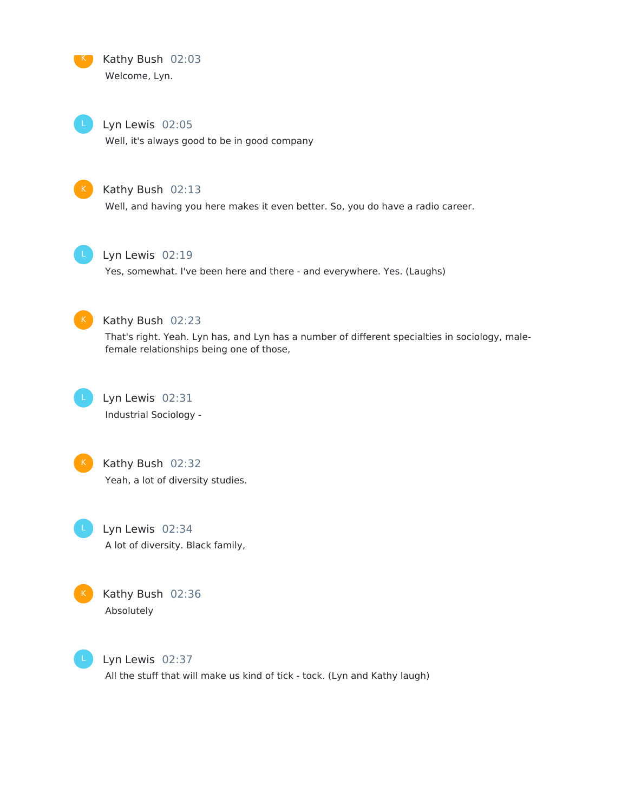

Kathy Bush 02:03 Welcome, Lyn.

Lyn Lewis 02:05 Well, it's always good to be in good company



#### Kathy Bush 02:13

Well, and having you here makes it even better. So, you do have a radio career.



#### Lyn Lewis 02:19

Yes, somewhat. I've been here and there - and everywhere. Yes. (Laughs)



#### Kathy Bush 02:23

That's right. Yeah. Lyn has, and Lyn has a number of different specialties in sociology, malefemale relationships being one of those,



Lyn Lewis 02:31 Industrial Sociology -



Kathy Bush 02:32 Yeah, a lot of diversity studies.

Lyn Lewis 02:34 A lot of diversity. Black family,



Kathy Bush 02:36 Absolutely



Lyn Lewis 02:37 All the stuff that will make us kind of tick - tock. (Lyn and Kathy laugh)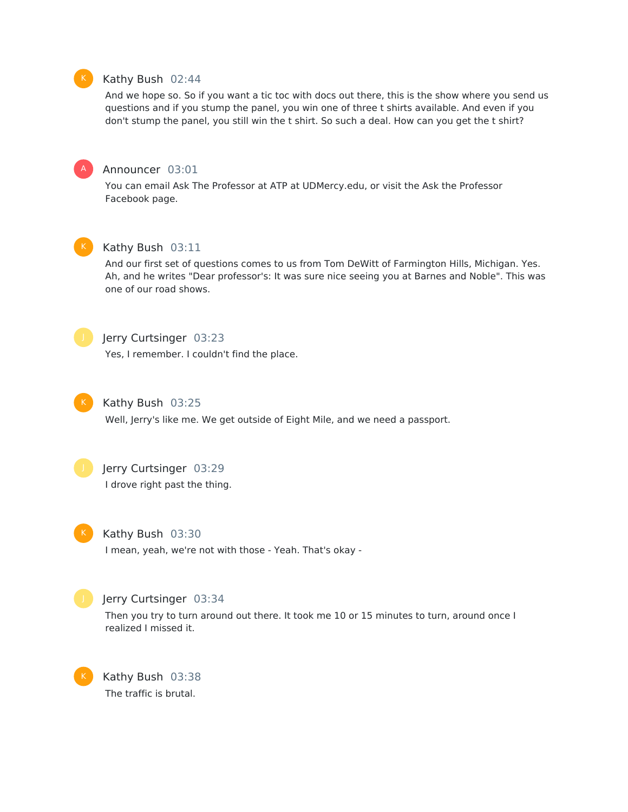

#### Kathy Bush 02:44

And we hope so. So if you want a tic toc with docs out there, this is the show where you send us questions and if you stump the panel, you win one of three t shirts available. And even if you don't stump the panel, you still win the t shirt. So such a deal. How can you get the t shirt?



#### Announcer 03:01

You can email Ask The Professor at ATP at UDMercy.edu, or visit the Ask the Professor Facebook page.



#### Kathy Bush 03:11

And our first set of questions comes to us from Tom DeWitt of Farmington Hills, Michigan. Yes. Ah, and he writes "Dear professor's: It was sure nice seeing you at Barnes and Noble". This was one of our road shows.



## **Jerry Curtsinger 03:23**

Yes, I remember. I couldn't find the place.



#### Kathy Bush 03:25

Well, Jerry's like me. We get outside of Eight Mile, and we need a passport.



## Jerry Curtsinger 03:29

I drove right past the thing.



#### Kathy Bush 03:30

I mean, yeah, we're not with those - Yeah. That's okay -



#### Jerry Curtsinger 03:34

Then you try to turn around out there. It took me 10 or 15 minutes to turn, around once I realized I missed it.



Kathy Bush 03:38 The traffic is brutal.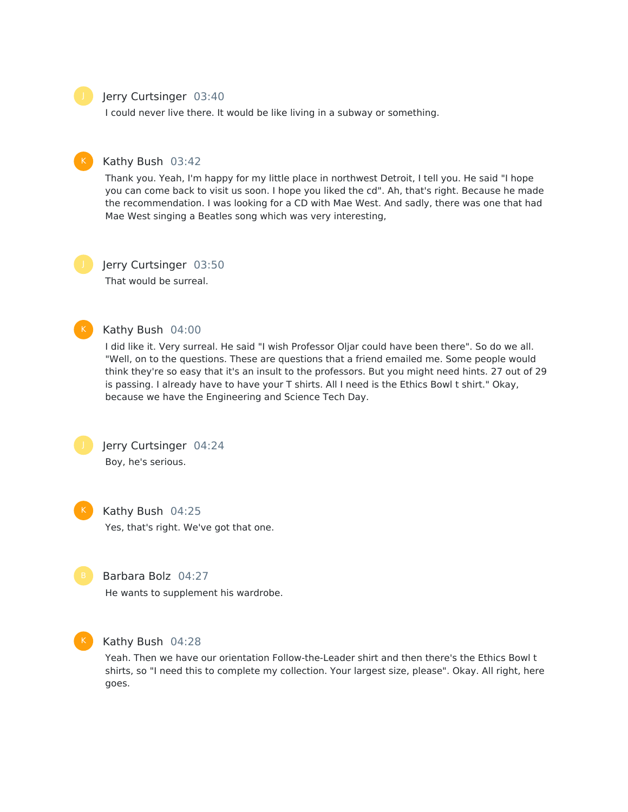#### Jerry Curtsinger 03:40

I could never live there. It would be like living in a subway or something.



## Kathy Bush 03:42

Thank you. Yeah, I'm happy for my little place in northwest Detroit, I tell you. He said "I hope you can come back to visit us soon. I hope you liked the cd". Ah, that's right. Because he made the recommendation. I was looking for a CD with Mae West. And sadly, there was one that had Mae West singing a Beatles song which was very interesting,

## Jerry Curtsinger 03:50

That would be surreal.



#### Kathy Bush 04:00

I did like it. Very surreal. He said "I wish Professor Oljar could have been there". So do we all. "Well, on to the questions. These are questions that a friend emailed me. Some people would think they're so easy that it's an insult to the professors. But you might need hints. 27 out of 29 is passing. I already have to have your T shirts. All I need is the Ethics Bowl t shirt." Okay, because we have the Engineering and Science Tech Day.

Jerry Curtsinger 04:24 Boy, he's serious.



Kathy Bush 04:25 Yes, that's right. We've got that one.



### Barbara Bolz 04:27

He wants to supplement his wardrobe.



#### Kathy Bush 04:28

Yeah. Then we have our orientation Follow-the-Leader shirt and then there's the Ethics Bowl t shirts, so "I need this to complete my collection. Your largest size, please". Okay. All right, here goes.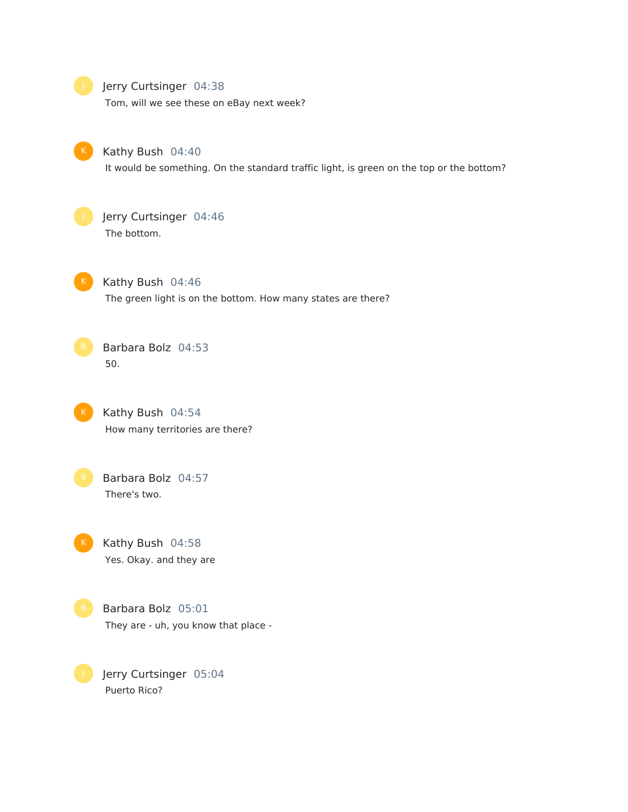#### Jerry Curtsinger 04:38

Tom, will we see these on eBay next week?



#### Kathy Bush 04:40

It would be something. On the standard traffic light, is green on the top or the bottom?



### Jerry Curtsinger 04:46 The bottom.

Kathy Bush 04:46 The green light is on the bottom. How many states are there?



## Barbara Bolz 04:53 50.

Kathy Bush 04:54 How many territories are there?



## Barbara Bolz 04:57 There's two.

Kathy Bush 04:58 Yes. Okay. and they are

Barbara Bolz 05:01 They are - uh, you know that place -

Jerry Curtsinger 05:04 Puerto Rico?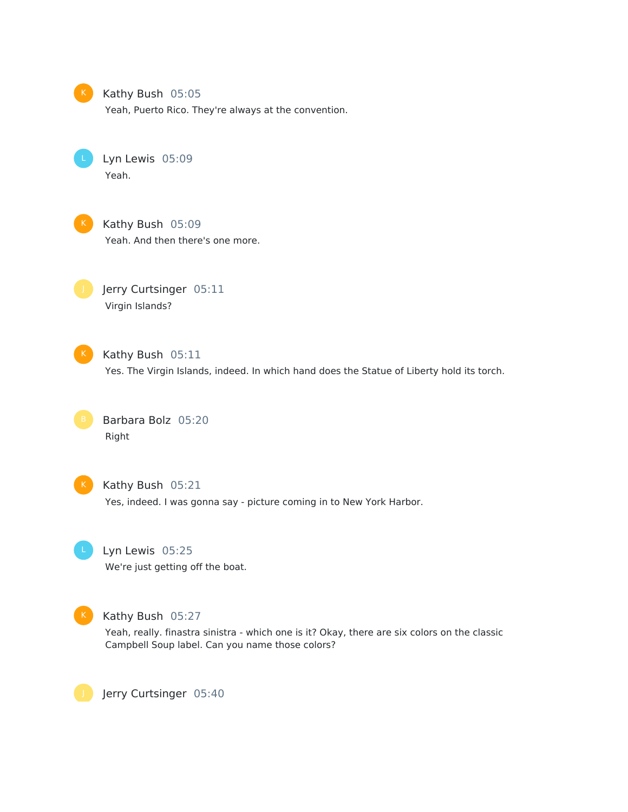

#### Kathy Bush 05:05

Yeah, Puerto Rico. They're always at the convention.

Lyn Lewis 05:09 Yeah.



K Kathy Bush 05:09 Yeah. And then there's one more.

Jerry Curtsinger 05:11 Virgin Islands?



K Kathy Bush 05:11

Yes. The Virgin Islands, indeed. In which hand does the Statue of Liberty hold its torch.

Barbara Bolz 05:20 Right



#### K Kathy Bush 05:21

Yes, indeed. I was gonna say - picture coming in to New York Harbor.



## Lyn Lewis 05:25

We're just getting off the boat.



#### K Kathy Bush 05:27

Yeah, really. finastra sinistra - which one is it? Okay, there are six colors on the classic Campbell Soup label. Can you name those colors?

Jerry Curtsinger 05:40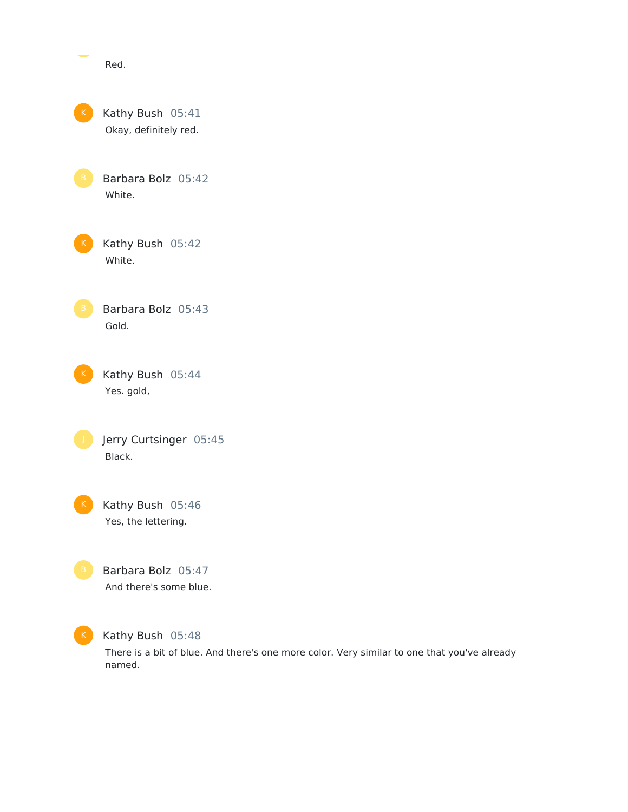|                 | Red.                                         |
|-----------------|----------------------------------------------|
| K               | Kathy Bush 05:41<br>Okay, definitely red.    |
| B               | Barbara Bolz 05:42<br>White.                 |
| K.              | Kathy Bush 05:42<br>White.                   |
| $\, {\bf B} \,$ | Barbara Bolz 05:43<br>Gold.                  |
| $\mathsf{K}$    | Kathy Bush 05:44<br>Yes. gold,               |
|                 | Jerry Curtsinger 05:45<br>Black.             |
|                 | Kathy Bush 05:46<br>Yes, the lettering.      |
| $\mathsf B$     | Barbara Bolz 05:47<br>And there's some blue. |
|                 |                                              |

#### K Kathy Bush 05:48

There is a bit of blue. And there's one more color. Very similar to one that you've already named.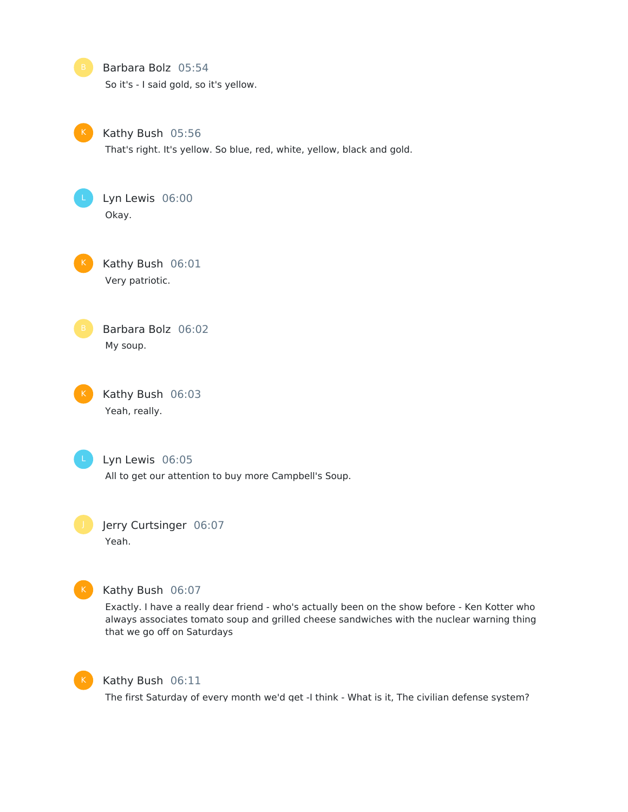



#### Kathy Bush 06:07

Exactly. I have a really dear friend - who's actually been on the show before - Ken Kotter who always associates tomato soup and grilled cheese sandwiches with the nuclear warning thing that we go off on Saturdays



#### Kathy Bush 06:11

The first Saturday of every month we'd get -I think - What is it, The civilian defense system?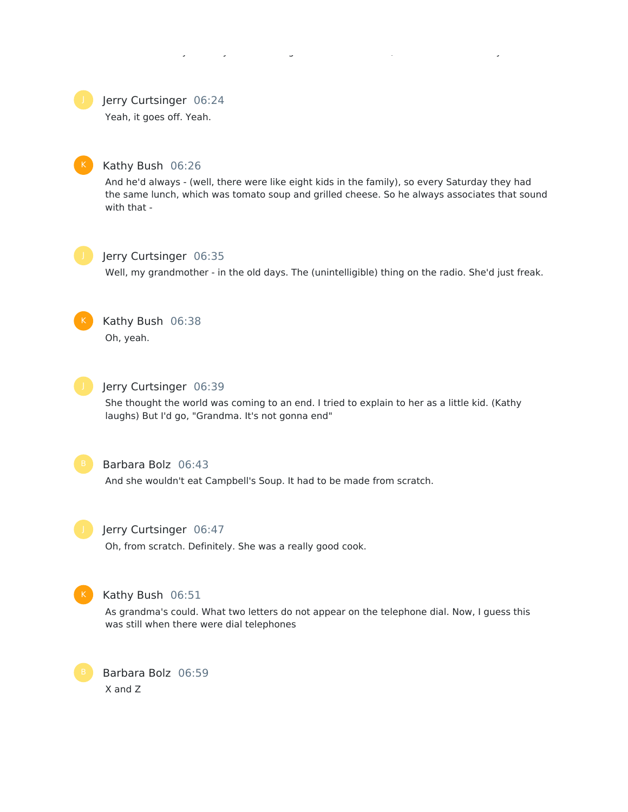The first Saturday of every month we'd get -I think - What is it, The civilian defense system?

Jerry Curtsinger 06:24

Yeah, it goes off. Yeah.



## Kathy Bush 06:26

And he'd always - (well, there were like eight kids in the family), so every Saturday they had the same lunch, which was tomato soup and grilled cheese. So he always associates that sound with that -



### Jerry Curtsinger 06:35

Well, my grandmother - in the old days. The (unintelligible) thing on the radio. She'd just freak.



## Kathy Bush 06:38

Oh, yeah.



## Jerry Curtsinger 06:39

She thought the world was coming to an end. I tried to explain to her as a little kid. (Kathy laughs) But I'd go, "Grandma. It's not gonna end"



## Barbara Bolz 06:43

And she wouldn't eat Campbell's Soup. It had to be made from scratch.



#### Jerry Curtsinger 06:47

Oh, from scratch. Definitely. She was a really good cook.



### Kathy Bush 06:51

As grandma's could. What two letters do not appear on the telephone dial. Now, I guess this was still when there were dial telephones

Barbara Bolz 06:59 X and Z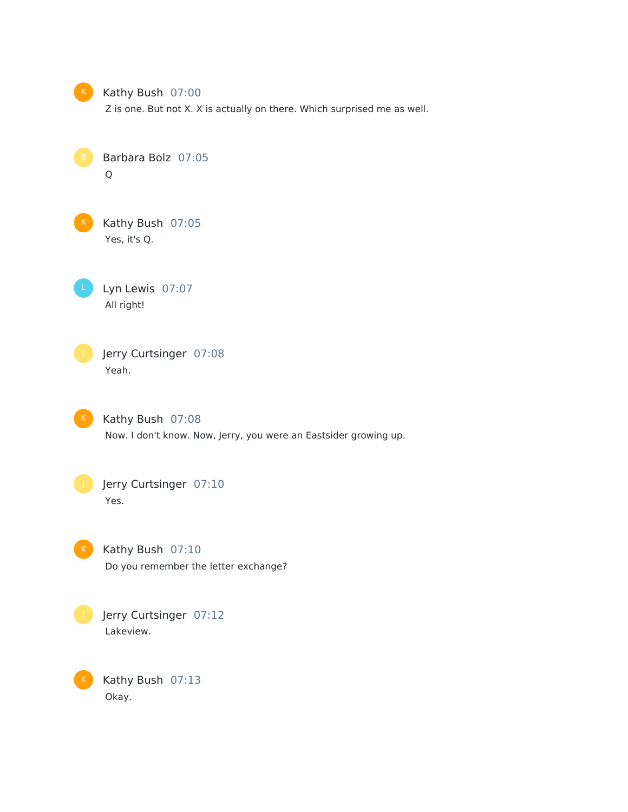

#### K Kathy Bush 07:00

Z is one. But not X. X is actually on there. Which surprised me as well.

Barbara Bolz 07:05 Q

K Kathy Bush 07:05 Yes, it's Q.

Lyn Lewis 07:07 All right!

Jerry Curtsinger 07:08 Yeah.

K Kathy Bush 07:08 Now. I don't know. Now, Jerry, you were an Eastsider growing up.

Jerry Curtsinger 07:10 Yes.

K

K Kathy Bush 07:10 Do you remember the letter exchange?



Kathy Bush 07:13 Okay.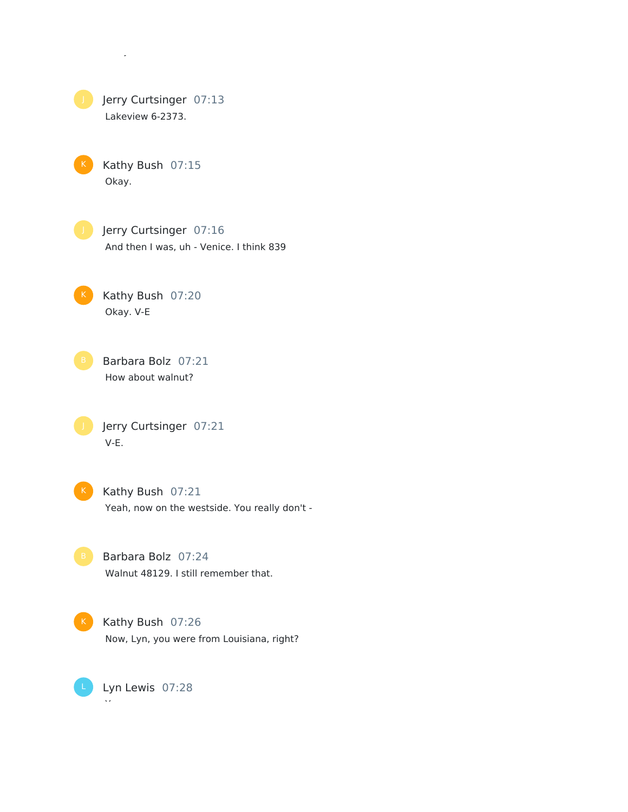

Okay.

Kathy Bush 07:15 Okay.

**Julie** Jerry Curtsinger 07:16 And then I was, uh - Venice. I think 839

Kathy Bush 07:20 Okay. V-E

B Barbara Bolz 07:21 How about walnut?

**July Jerry Curtsinger 07:21** V-E.

K Kathy Bush 07:21 Yeah, now on the westside. You really don't -

B Barbara Bolz 07:24 Walnut 48129. I still remember that.

K Kathy Bush 07:26 Now, Lyn, you were from Louisiana, right?

Lyn Lewis 07:28 L

Yes.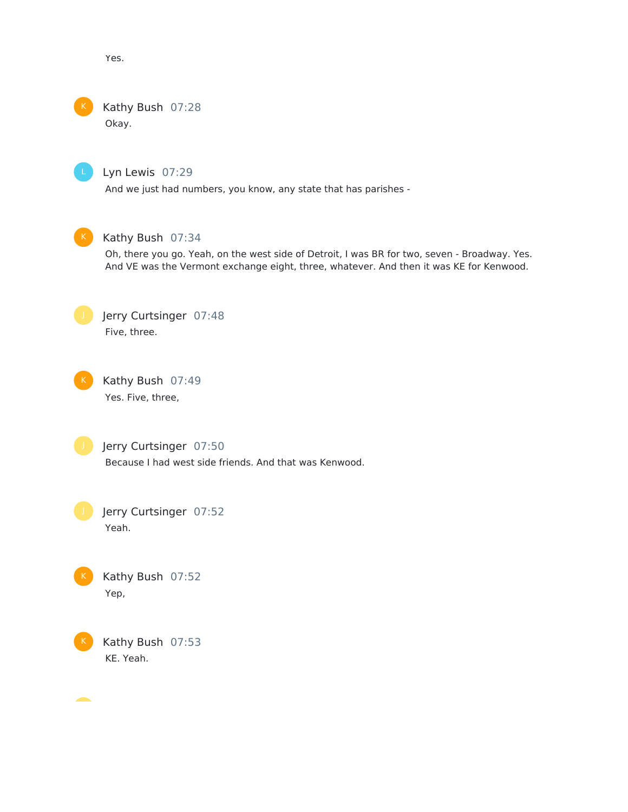Yes.

## Kathy Bush 07:28

Okay.



## Lyn Lewis 07:29

And we just had numbers, you know, any state that has parishes -



## Kathy Bush 07:34

Oh, there you go. Yeah, on the west side of Detroit, I was BR for two, seven - Broadway. Yes. And VE was the Vermont exchange eight, three, whatever. And then it was KE for Kenwood.



Kathy Bush 07:49 Yes. Five, three,

Jerry Curtsinger 07:50 Because I had west side friends. And that was Kenwood.

Jerry Curtsinger 07:52 Yeah.



Kathy Bush 07:52 Yep,



Kathy Bush 07:53 KE. Yeah.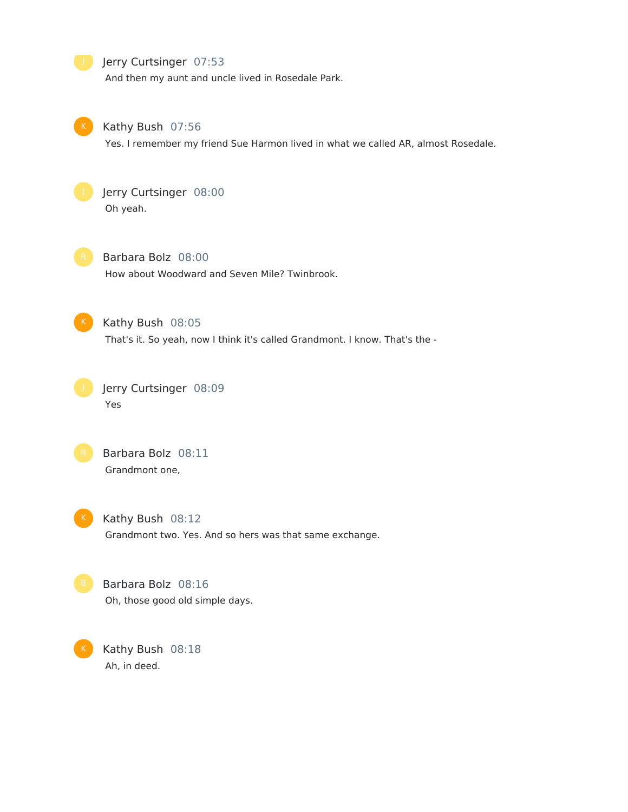

And then my aunt and uncle lived in Rosedale Park.



#### Kathy Bush 07:56

Yes. I remember my friend Sue Harmon lived in what we called AR, almost Rosedale.



## Jerry Curtsinger 08:00 Oh yeah.

Barbara Bolz 08:00 How about Woodward and Seven Mile? Twinbrook.



### Kathy Bush 08:05

That's it. So yeah, now I think it's called Grandmont. I know. That's the -







Grandmont two. Yes. And so hers was that same exchange.

Barbara Bolz 08:16 Oh, those good old simple days.

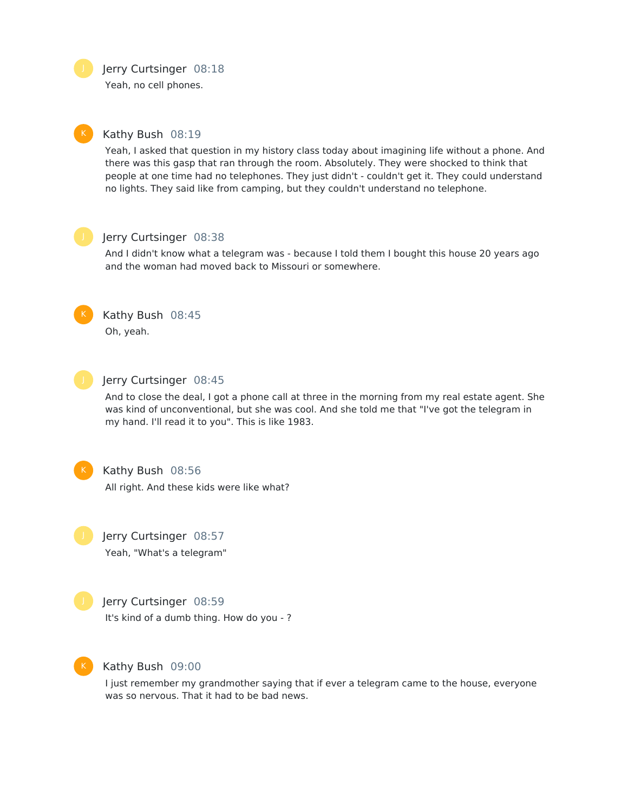Jerry Curtsinger 08:18

Yeah, no cell phones.

#### Kathy Bush 08:19

Yeah, I asked that question in my history class today about imagining life without a phone. And there was this gasp that ran through the room. Absolutely. They were shocked to think that people at one time had no telephones. They just didn't - couldn't get it. They could understand no lights. They said like from camping, but they couldn't understand no telephone.



## Jerry Curtsinger 08:38

And I didn't know what a telegram was - because I told them I bought this house 20 years ago and the woman had moved back to Missouri or somewhere.



## Kathy Bush 08:45

Oh, yeah.



#### Jerry Curtsinger 08:45

And to close the deal, I got a phone call at three in the morning from my real estate agent. She was kind of unconventional, but she was cool. And she told me that "I've got the telegram in my hand. I'll read it to you". This is like 1983.



#### Kathy Bush 08:56

All right. And these kids were like what?

Jerry Curtsinger 08:57 Yeah, "What's a telegram"



#### Jerry Curtsinger 08:59

It's kind of a dumb thing. How do you - ?



### Kathy Bush 09:00

I just remember my grandmother saying that if ever a telegram came to the house, everyone was so nervous. That it had to be bad news.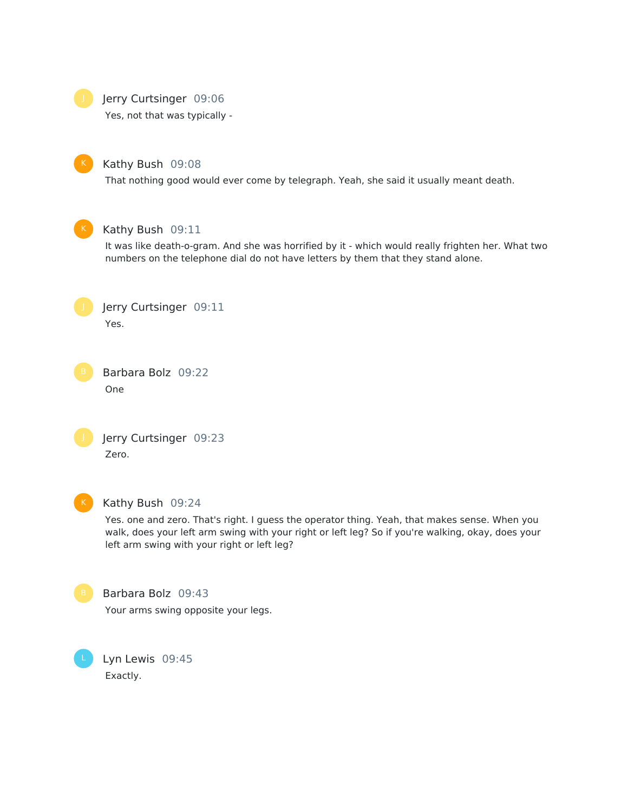

#### **Jerry Curtsinger 09:06**

Yes, not that was typically -



#### Kathy Bush 09:08

That nothing good would ever come by telegraph. Yeah, she said it usually meant death.



#### Kathy Bush 09:11

It was like death-o-gram. And she was horrified by it - which would really frighten her. What two numbers on the telephone dial do not have letters by them that they stand alone.



Barbara Bolz 09:22 One



Jerry Curtsinger 09:23 Zero.



#### Kathy Bush 09:24

Yes. one and zero. That's right. I guess the operator thing. Yeah, that makes sense. When you walk, does your left arm swing with your right or left leg? So if you're walking, okay, does your left arm swing with your right or left leg?



#### Barbara Bolz 09:43

Your arms swing opposite your legs.

Lyn Lewis 09:45 Exactly.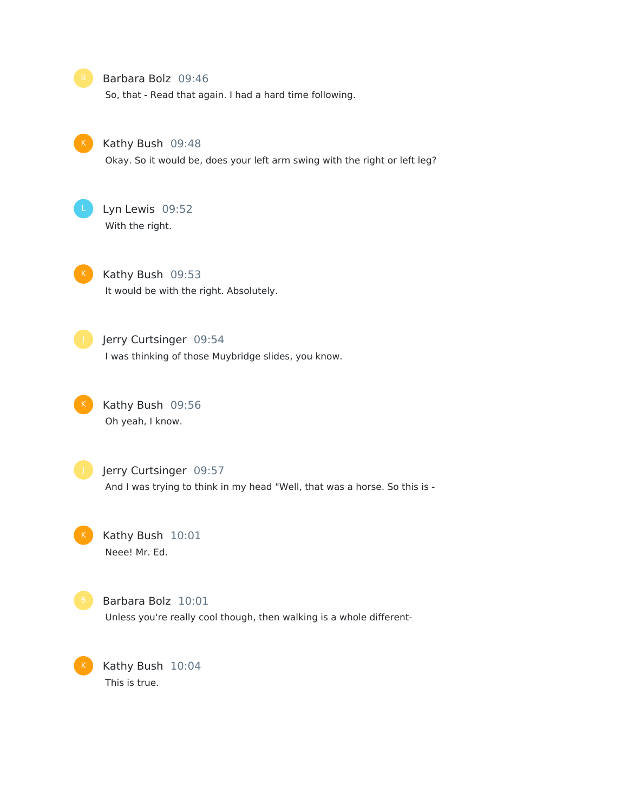#### B Barbara Bolz 09:46

So, that - Read that again. I had a hard time following.



#### Kathy Bush 09:48

Okay. So it would be, does your left arm swing with the right or left leg?



## Lyn Lewis 09:52 With the right.

K Kathy Bush 09:53 It would be with the right. Absolutely.



### **July Jerry Curtsinger 09:54**

I was thinking of those Muybridge slides, you know.



## Kathy Bush 09:56 Oh yeah, I know.



## Jerry Curtsinger 09:57 And I was trying to think in my head "Well, that was a horse. So this is -

Kathy Bush 10:01 Neee! Mr. Ed.



Barbara Bolz 10:01 Unless you're really cool though, then walking is a whole different-

Kathy Bush 10:04 This is true.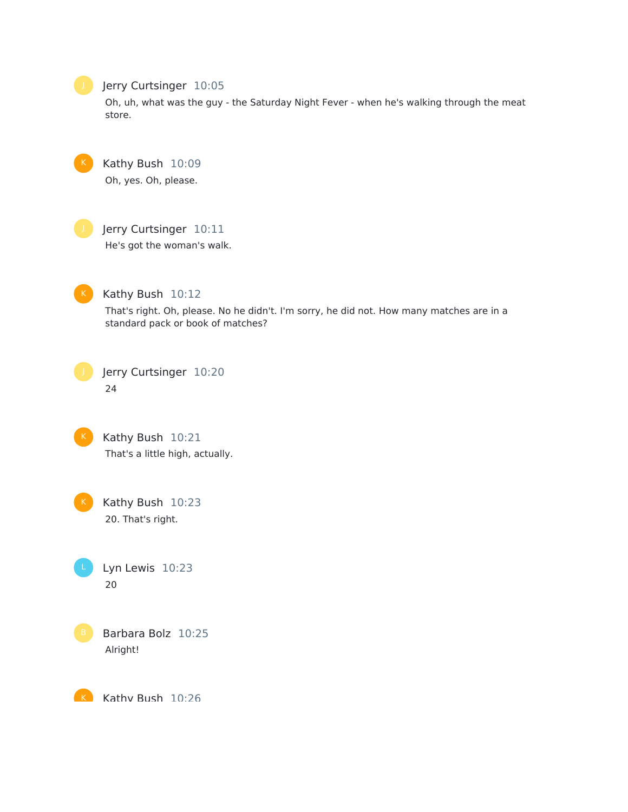## Jerry Curtsinger 10:05

Oh, uh, what was the guy - the Saturday Night Fever - when he's walking through the meat store.

Kathy Bush 10:09 Oh, yes. Oh, please.

## Jerry Curtsinger 10:11

He's got the woman's walk.



## Kathy Bush 10:12

That's right. Oh, please. No he didn't. I'm sorry, he did not. How many matches are in a standard pack or book of matches?



## Jerry Curtsinger 10:20 24



Kathy Bush 10:21 That's a little high, actually.



Kathy Bush 10:23 20. That's right.





K Kathy Rush 10:26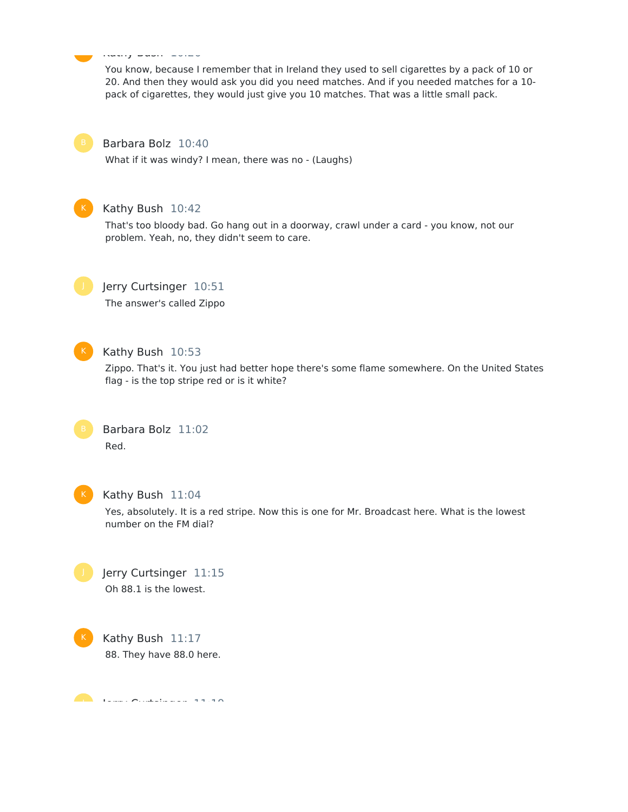#### Kathy Bush 20:26 <u>ka</u>

You know, because I remember that in Ireland they used to sell cigarettes by a pack of 10 or 20. And then they would ask you did you need matches. And if you needed matches for a 10 pack of cigarettes, they would just give you 10 matches. That was a little small pack.



#### Barbara Bolz 10:40

What if it was windy? I mean, there was no - (Laughs)



#### Kathy Bush 10:42

That's too bloody bad. Go hang out in a doorway, crawl under a card - you know, not our problem. Yeah, no, they didn't seem to care.



#### Jerry Curtsinger 10:51

The answer's called Zippo



#### Kathy Bush 10:53

Zippo. That's it. You just had better hope there's some flame somewhere. On the United States flag - is the top stripe red or is it white?





#### Kathy Bush 11:04

Yes, absolutely. It is a red stripe. Now this is one for Mr. Broadcast here. What is the lowest number on the FM dial?

Jerry Curtsinger 11:15 Oh 88.1 is the lowest.

Kathy Bush 11:17 88. They have 88.0 here.

 $\overline{\phantom{a}}$   $\overline{\phantom{a}}$   $\overline{\phantom{a}}$   $\overline{\phantom{a}}$   $\overline{\phantom{a}}$   $\overline{\phantom{a}}$   $\overline{\phantom{a}}$   $\overline{\phantom{a}}$   $\overline{\phantom{a}}$   $\overline{\phantom{a}}$   $\overline{\phantom{a}}$   $\overline{\phantom{a}}$   $\overline{\phantom{a}}$   $\overline{\phantom{a}}$   $\overline{\phantom{a}}$   $\overline{\phantom{a}}$   $\overline{\phantom{a}}$   $\overline{\phantom{a}}$   $\overline{\$  $\bullet$  .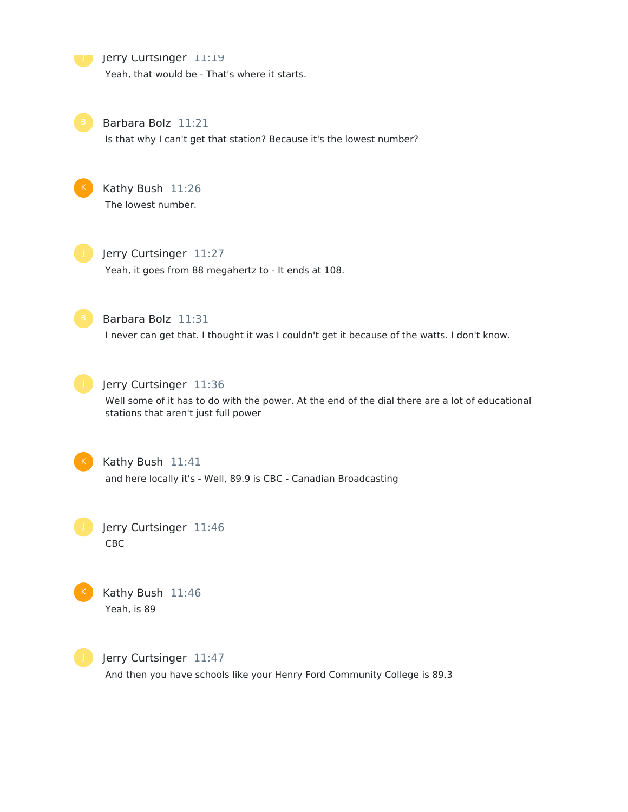**Jerry Curtsinger 11:19** 

Yeah, that would be - That's where it starts.



Barbara Bolz 11:21

Is that why I can't get that station? Because it's the lowest number?



Kathy Bush 11:26 The lowest number.



Jerry Curtsinger 11:27 Yeah, it goes from 88 megahertz to - It ends at 108.



Barbara Bolz 11:31

I never can get that. I thought it was I couldn't get it because of the watts. I don't know.



Jerry Curtsinger 11:36

Well some of it has to do with the power. At the end of the dial there are a lot of educational stations that aren't just full power



Kathy Bush 11:41 and here locally it's - Well, 89.9 is CBC - Canadian Broadcasting

Jerry Curtsinger 11:46 CBC



Kathy Bush 11:46 Yeah, is 89



Jerry Curtsinger 11:47 And then you have schools like your Henry Ford Community College is 89.3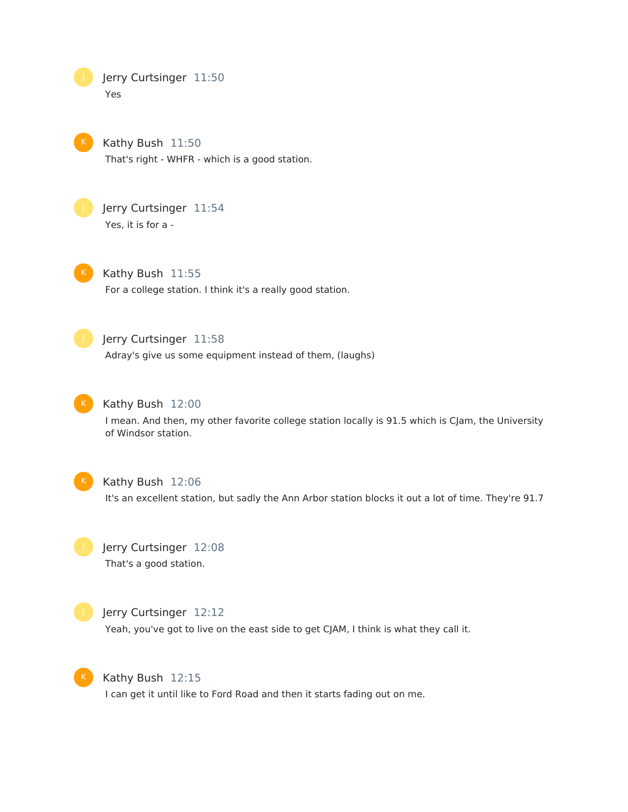Jerry Curtsinger 11:50 Yes

Kathy Bush 11:50 That's right - WHFR - which is a good station.



Jerry Curtsinger 11:54 Yes, it is for a -



Kathy Bush 11:55 For a college station. I think it's a really good station.



## Jerry Curtsinger 11:58

Adray's give us some equipment instead of them, (laughs)



## K Kathy Bush 12:00

I mean. And then, my other favorite college station locally is 91.5 which is CJam, the University of Windsor station.



#### Kathy Bush 12:06

It's an excellent station, but sadly the Ann Arbor station blocks it out a lot of time. They're 91.7



## Jerry Curtsinger 12:08 That's a good station.



#### Jerry Curtsinger 12:12

Yeah, you've got to live on the east side to get CJAM, I think is what they call it.



#### Kathy Bush 12:15

I can get it until like to Ford Road and then it starts fading out on me.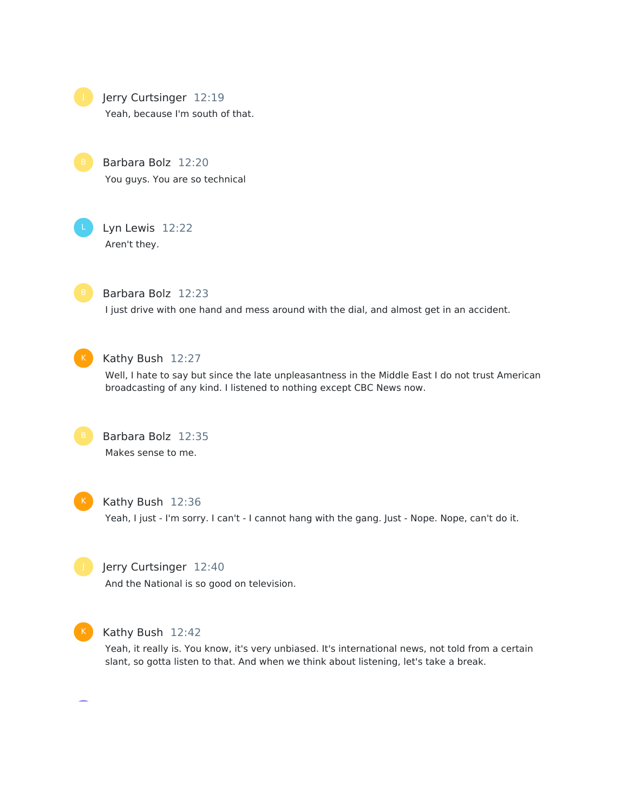Jerry Curtsinger 12:19

Yeah, because I'm south of that.

Barbara Bolz 12:20 You guys. You are so technical

Lyn Lewis 12:22 Aren't they.



Barbara Bolz 12:23

I just drive with one hand and mess around with the dial, and almost get in an accident.



#### Kathy Bush 12:27

Well, I hate to say but since the late unpleasantness in the Middle East I do not trust American broadcasting of any kind. I listened to nothing except CBC News now.



Barbara Bolz 12:35 Makes sense to me.



#### Kathy Bush 12:36

Yeah, I just - I'm sorry. I can't - I cannot hang with the gang. Just - Nope. Nope, can't do it.



#### Jerry Curtsinger 12:40

And the National is so good on television.



#### K Kathy Bush 12:42

Yeah, it really is. You know, it's very unbiased. It's international news, not told from a certain slant, so gotta listen to that. And when we think about listening, let's take a break.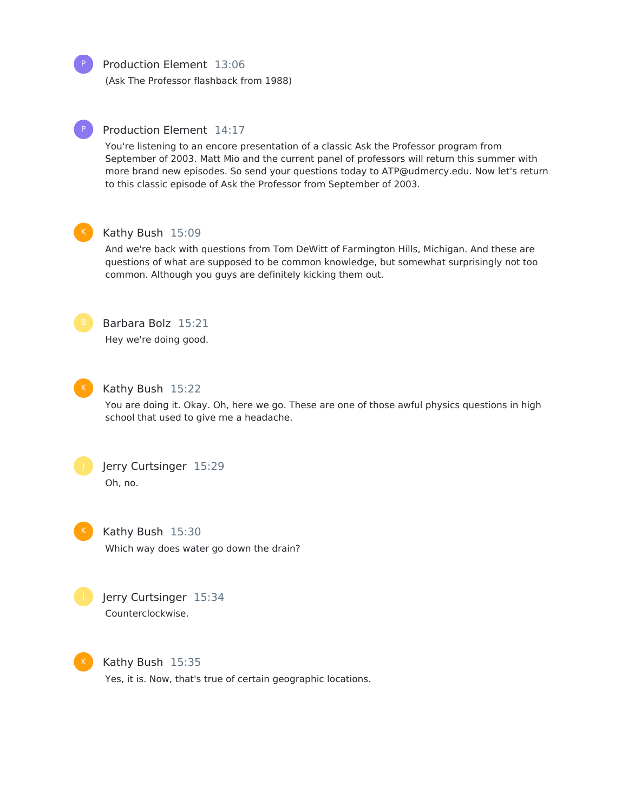Production Element 13:06

(Ask The Professor flashback from 1988)



#### Production Element 14:17

You're listening to an encore presentation of a classic Ask the Professor program from September of 2003. Matt Mio and the current panel of professors will return this summer with more brand new episodes. So send your questions today to ATP@udmercy.edu. Now let's return to this classic episode of Ask the Professor from September of 2003.



#### Kathy Bush 15:09

And we're back with questions from Tom DeWitt of Farmington Hills, Michigan. And these are questions of what are supposed to be common knowledge, but somewhat surprisingly not too common. Although you guys are definitely kicking them out.



## Barbara Bolz 15:21

Hey we're doing good.



#### Kathy Bush 15:22

You are doing it. Okay. Oh, here we go. These are one of those awful physics questions in high school that used to give me a headache.



Jerry Curtsinger 15:29 Oh, no.



Kathy Bush 15:30 Which way does water go down the drain?



Jerry Curtsinger 15:34 Counterclockwise.



Kathy Bush 15:35

Yes, it is. Now, that's true of certain geographic locations.

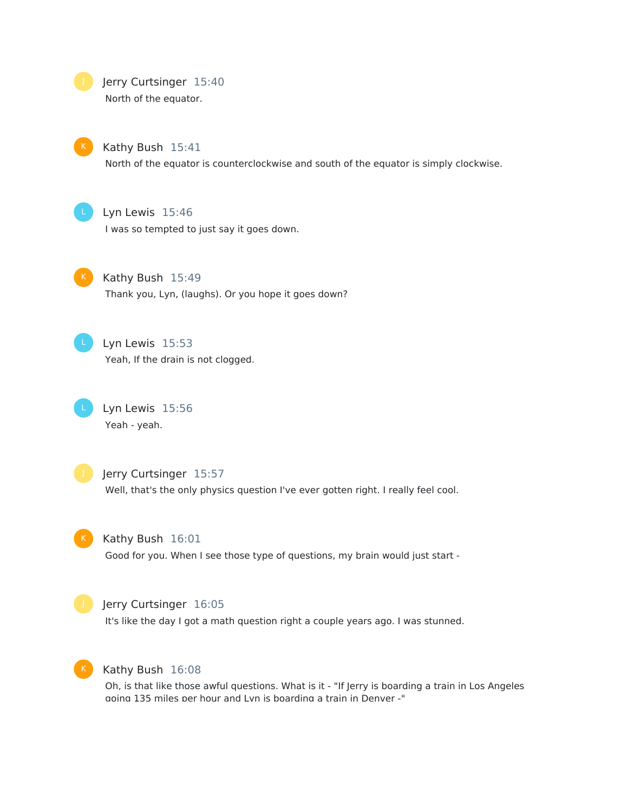Jerry Curtsinger 15:40

North of the equator.



Kathy Bush 15:41

North of the equator is counterclockwise and south of the equator is simply clockwise.

Lyn Lewis 15:46

I was so tempted to just say it goes down.

Kathy Bush 15:49 Thank you, Lyn, (laughs). Or you hope it goes down?

Lyn Lewis 15:53 Yeah, If the drain is not clogged.

Lyn Lewis 15:56 Yeah - yeah.



Jerry Curtsinger 15:57

Well, that's the only physics question I've ever gotten right. I really feel cool.

Kathy Bush 16:01

Good for you. When I see those type of questions, my brain would just start -



#### Jerry Curtsinger 16:05

It's like the day I got a math question right a couple years ago. I was stunned.



#### Kathy Bush 16:08

Oh, is that like those awful questions. What is it - "If Jerry is boarding a train in Los Angeles going 135 miles per hour and Lyn is boarding a train in Denver -"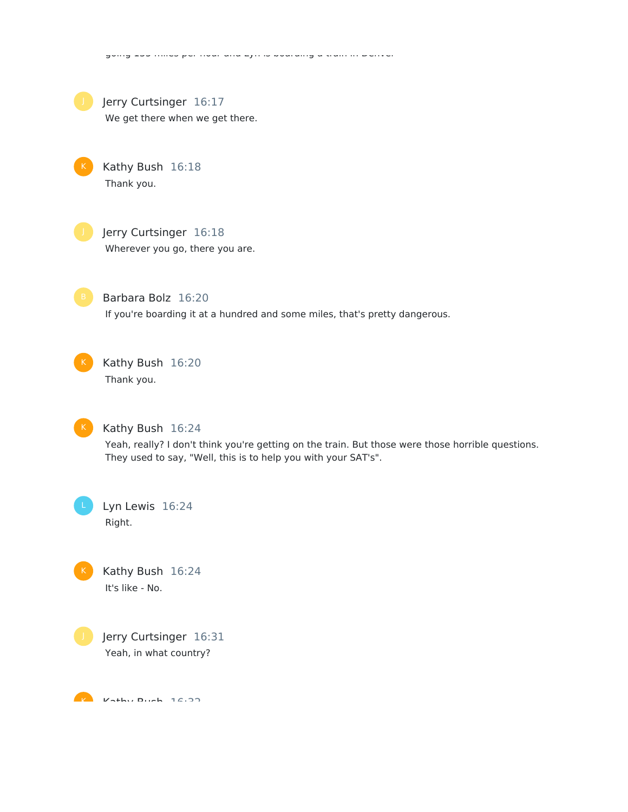

Jerry Curtsinger 16:17

We get there when we get there.

Kathy Bush 16:18 Thank you.



Jerry Curtsinger 16:18 Wherever you go, there you are.



Barbara Bolz 16:20 If you're boarding it at a hundred and some miles, that's pretty dangerous.

going 135 miles per hour and Lyn is boarding a train in Denver -"



Kathy Bush 16:20 Thank you.



Kathy Bush 16:24

Yeah, really? I don't think you're getting on the train. But those were those horrible questions. They used to say, "Well, this is to help you with your SAT's".

Lyn Lewis 16:24 Right.

Kathy Bush 16:24 It's like - No.



Jerry Curtsinger 16:31 Yeah, in what country?

 $K$  Kathy Bush 16:33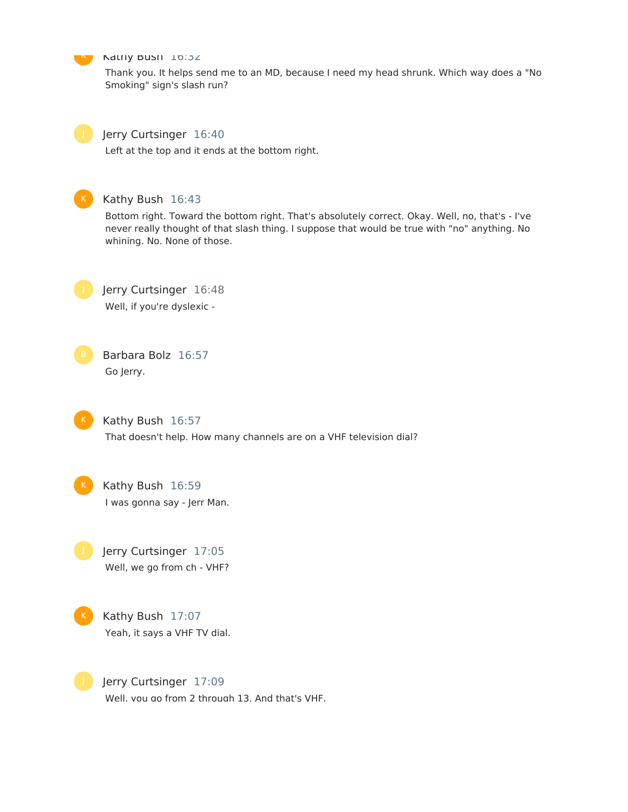

#### **N** Kathy Bush 16:32

Thank you. It helps send me to an MD, because I need my head shrunk. Which way does a "No Smoking" sign's slash run?



#### Jerry Curtsinger 16:40

Left at the top and it ends at the bottom right.



## Kathy Bush 16:43

Bottom right. Toward the bottom right. That's absolutely correct. Okay. Well, no, that's - I've never really thought of that slash thing. I suppose that would be true with "no" anything. No whining. No. None of those.



Jerry Curtsinger 16:48 Well, if you're dyslexic -

Barbara Bolz 16:57 Go Jerry.



Kathy Bush 16:57 That doesn't help. How many channels are on a VHF television dial?

Kathy Bush 16:59 I was gonna say - Jerr Man.

Jerry Curtsinger 17:05 Well, we go from ch - VHF?



Jerry Curtsinger 17:09 Well, you go from 2 through 13. And that's VHF.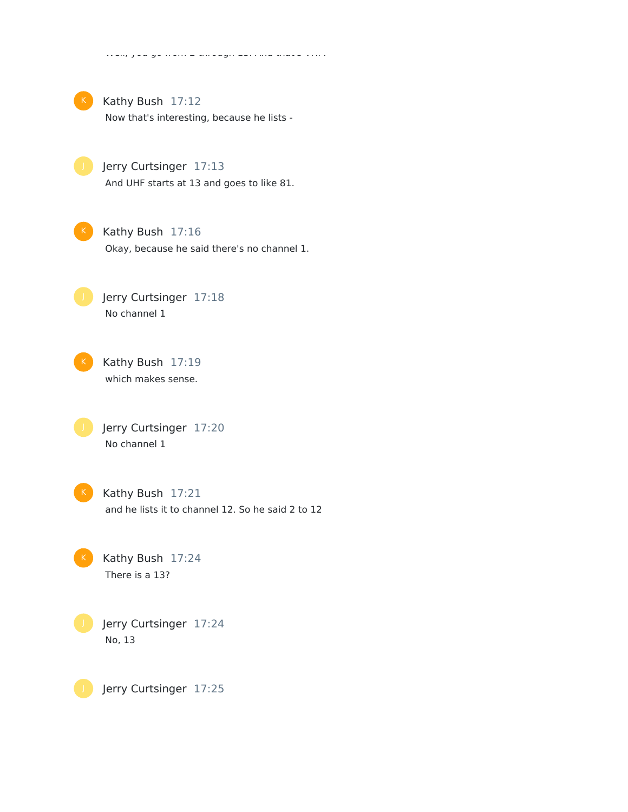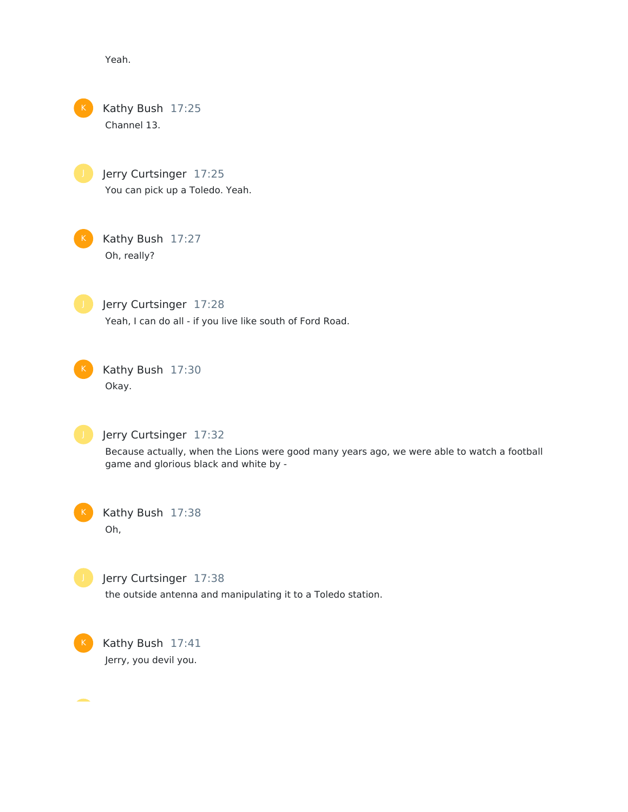Yeah.

Kathy Bush 17:25 Channel 13.

> Jerry Curtsinger 17:25 You can pick up a Toledo. Yeah.

Kathy Bush 17:27 Oh, really?



Jerry Curtsinger 17:28 Yeah, I can do all - if you live like south of Ford Road.

Kathy Bush 17:30 Okay.



### Jerry Curtsinger 17:32

Because actually, when the Lions were good many years ago, we were able to watch a football game and glorious black and white by -



Kathy Bush 17:38 Oh,



## Jerry Curtsinger 17:38

the outside antenna and manipulating it to a Toledo station.



Kathy Bush 17:41 Jerry, you devil you.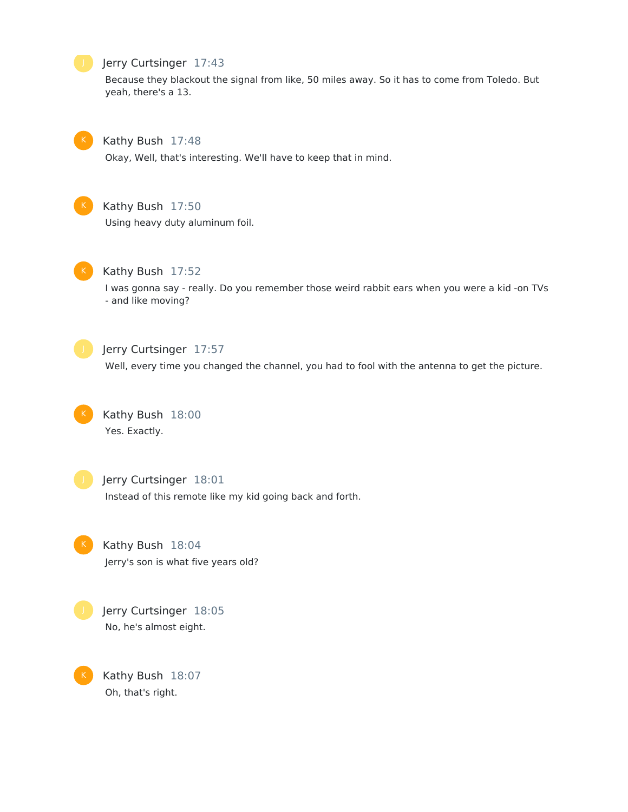#### Jerry Curtsinger 17:43

Because they blackout the signal from like, 50 miles away. So it has to come from Toledo. But yeah, there's a 13.



#### Kathy Bush 17:48

Okay, Well, that's interesting. We'll have to keep that in mind.



#### Kathy Bush 17:50

Using heavy duty aluminum foil.



#### Kathy Bush 17:52

I was gonna say - really. Do you remember those weird rabbit ears when you were a kid -on TVs - and like moving?



#### Jerry Curtsinger 17:57

Well, every time you changed the channel, you had to fool with the antenna to get the picture.



## Kathy Bush 18:00 Yes. Exactly.



#### Jerry Curtsinger 18:01

Instead of this remote like my kid going back and forth.



# Kathy Bush 18:04

Jerry's son is what five years old?



K

## Jerry Curtsinger 18:05 No, he's almost eight.

Kathy Bush 18:07 Oh, that's right.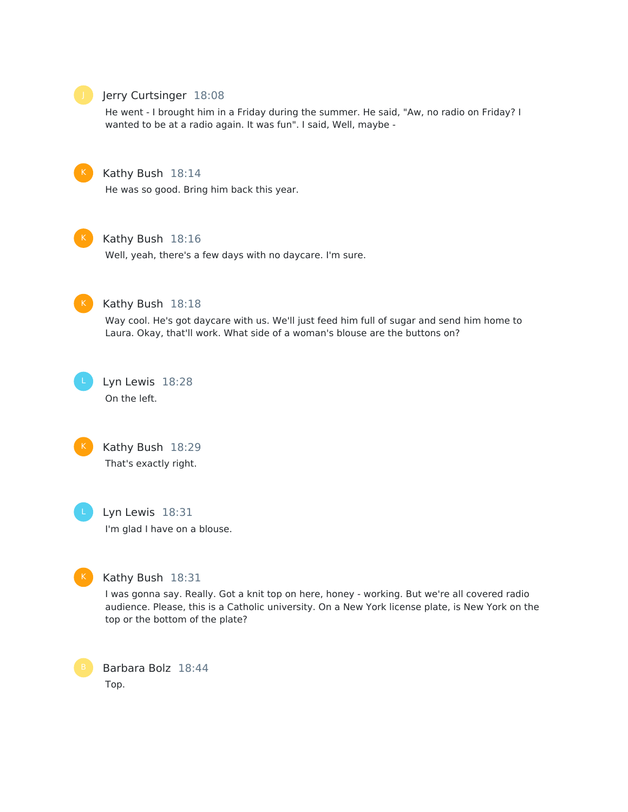

#### Jerry Curtsinger 18:08

He went - I brought him in a Friday during the summer. He said, "Aw, no radio on Friday? I wanted to be at a radio again. It was fun". I said, Well, maybe -



#### Kathy Bush 18:14

He was so good. Bring him back this year.



#### Kathy Bush 18:16

Well, yeah, there's a few days with no daycare. I'm sure.



#### Kathy Bush 18:18

Way cool. He's got daycare with us. We'll just feed him full of sugar and send him home to Laura. Okay, that'll work. What side of a woman's blouse are the buttons on?

Lyn Lewis 18:28 On the left.





## Lyn Lewis 18:31 I'm glad I have on a blouse.



### Kathy Bush 18:31

I was gonna say. Really. Got a knit top on here, honey - working. But we're all covered radio audience. Please, this is a Catholic university. On a New York license plate, is New York on the top or the bottom of the plate?

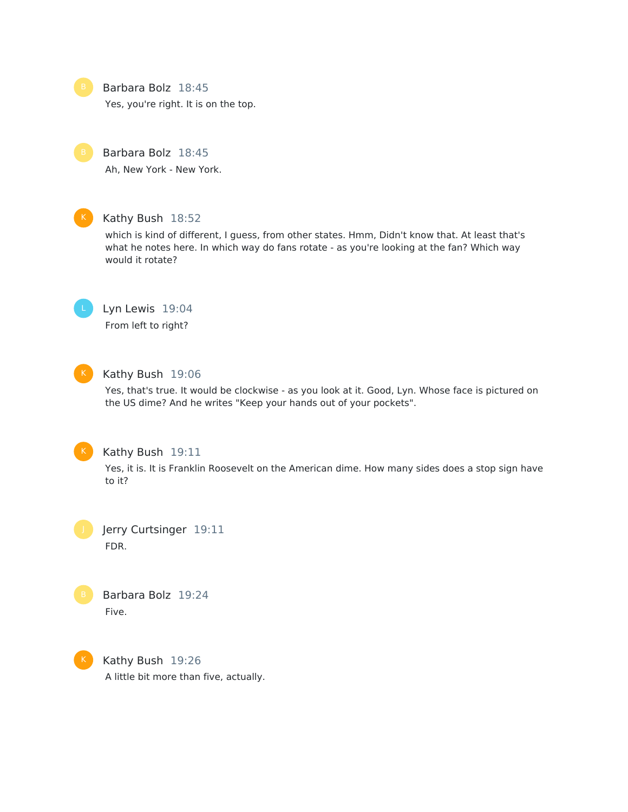#### Barbara Bolz 18:45

Yes, you're right. It is on the top.

Barbara Bolz 18:45

Ah, New York - New York.



#### Kathy Bush 18:52

which is kind of different, I guess, from other states. Hmm, Didn't know that. At least that's what he notes here. In which way do fans rotate - as you're looking at the fan? Which way would it rotate?

Lyn Lewis 19:04 From left to right?



#### K Kathy Bush 19:06

Yes, that's true. It would be clockwise - as you look at it. Good, Lyn. Whose face is pictured on the US dime? And he writes "Keep your hands out of your pockets".



#### Kathy Bush 19:11

Yes, it is. It is Franklin Roosevelt on the American dime. How many sides does a stop sign have to it?

Jerry Curtsinger 19:11 FDR.



Barbara Bolz 19:24 Five.



Kathy Bush 19:26 A little bit more than five, actually.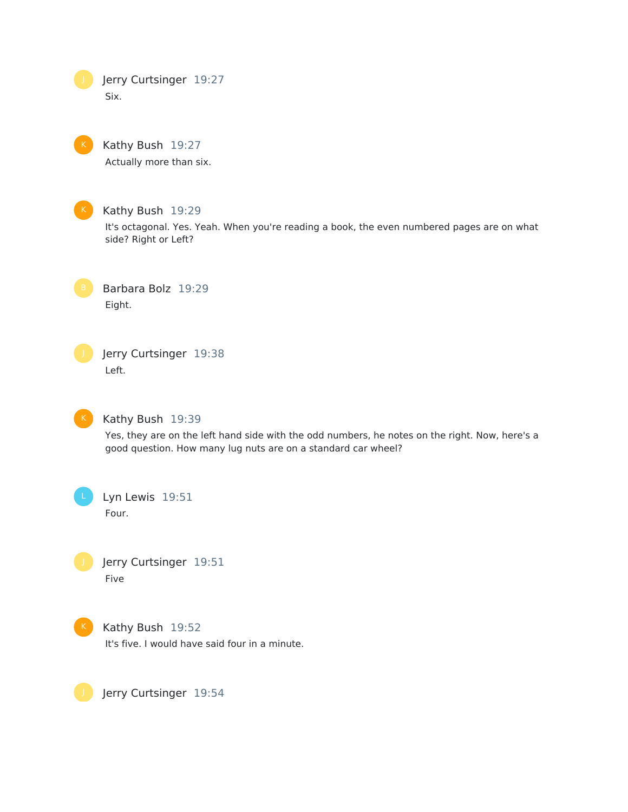Jerry Curtsinger 19:27 Six.



Kathy Bush 19:27

Actually more than six.



Kathy Bush 19:29

It's octagonal. Yes. Yeah. When you're reading a book, the even numbered pages are on what side? Right or Left?

Barbara Bolz 19:29 Eight.

Jerry Curtsinger 19:38 Left.

 $K$ 

#### Kathy Bush 19:39

Yes, they are on the left hand side with the odd numbers, he notes on the right. Now, here's a good question. How many lug nuts are on a standard car wheel?

Lyn Lewis 19:51 Four.

Jerry Curtsinger 19:51

Five



Kathy Bush 19:52

It's five. I would have said four in a minute.

Jerry Curtsinger 19:54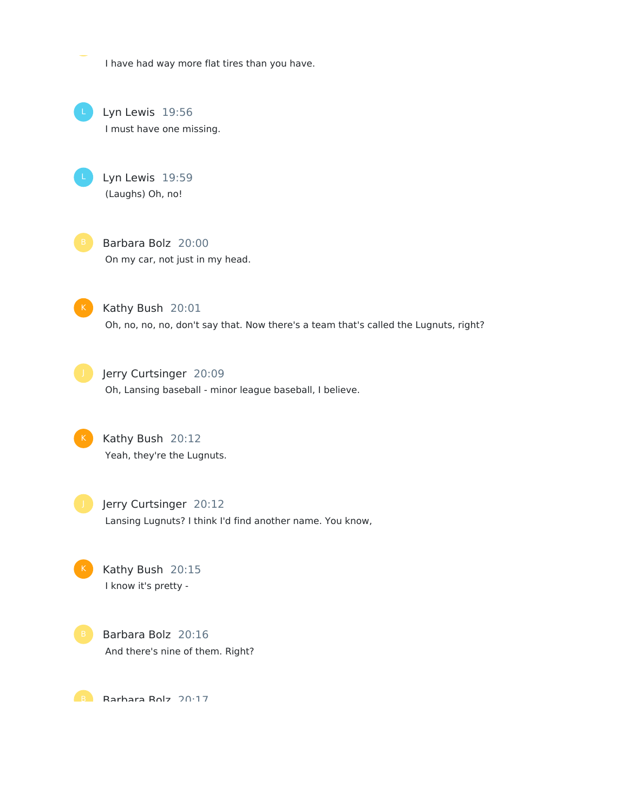I have had way more flat tires than you have.

Lyn Lewis 19:56 I must have one missing.

Lyn Lewis 19:59 (Laughs) Oh, no!

Barbara Bolz 20:00 On my car, not just in my head.

Kathy Bush 20:01 Oh, no, no, no, don't say that. Now there's a team that's called the Lugnuts, right?



Jerry Curtsinger 20:09 Oh, Lansing baseball - minor league baseball, I believe.



Kathy Bush 20:12 Yeah, they're the Lugnuts.



Jerry Curtsinger 20:12 Lansing Lugnuts? I think I'd find another name. You know,

Kathy Bush 20:15 I know it's pretty -



Barbara Bolz 20:16 And there's nine of them. Right?

Barhara Rolz 20:17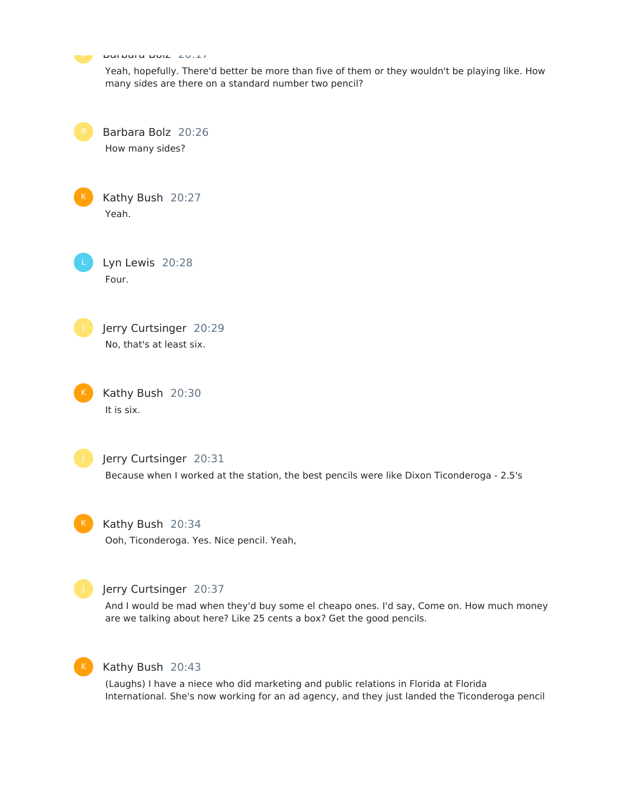Barbara Bolz 20:17 Yeah, hopefully. There'd better be more than five of them or they wouldn't be playing like. How many sides are there on a standard number two pencil? Barbara Bolz 20:26 How many sides? Kathy Bush 20:27 Yeah. Lyn Lewis 20:28 Four. Jerry Curtsinger 20:29 No, that's at least six. Kathy Bush 20:30 It is six. Jerry Curtsinger 20:31 Because when I worked at the station, the best pencils were like Dixon Ticonderoga - 2.5's Kathy Bush 20:34 Ooh, Ticonderoga. Yes. Nice pencil. Yeah, Jerry Curtsinger 20:37 And I would be mad when they'd buy some el cheapo ones. I'd say, Come on. How much money are we talking about here? Like 25 cents a box? Get the good pencils.



#### Kathy Bush 20:43

(Laughs) I have a niece who did marketing and public relations in Florida at Florida International. She's now working for an ad agency, and they just landed the Ticonderoga pencil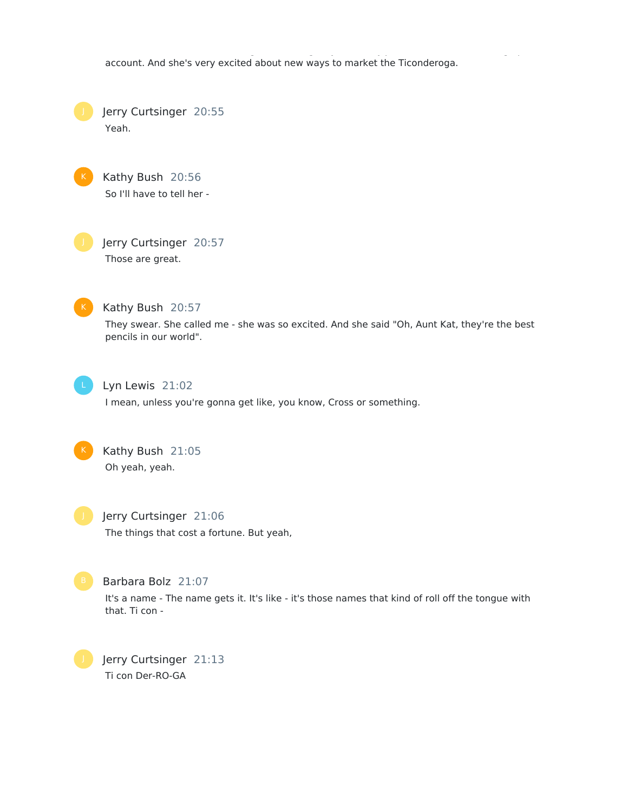account. And she's very excited about new ways to market the Ticonderoga.

International. She's now working for an ad agency, and they just landed the Ticonderoga pencil

Jerry Curtsinger 20:55 Yeah.



Jerry Curtsinger 20:57 Those are great.



Kathy Bush 20:57

They swear. She called me - she was so excited. And she said "Oh, Aunt Kat, they're the best pencils in our world".



Lyn Lewis 21:02

I mean, unless you're gonna get like, you know, Cross or something.



Jerry Curtsinger 21:06 The things that cost a fortune. But yeah,



Barbara Bolz 21:07

It's a name - The name gets it. It's like - it's those names that kind of roll off the tongue with that. Ti con -

Jerry Curtsinger 21:13 Ti con Der-RO-GA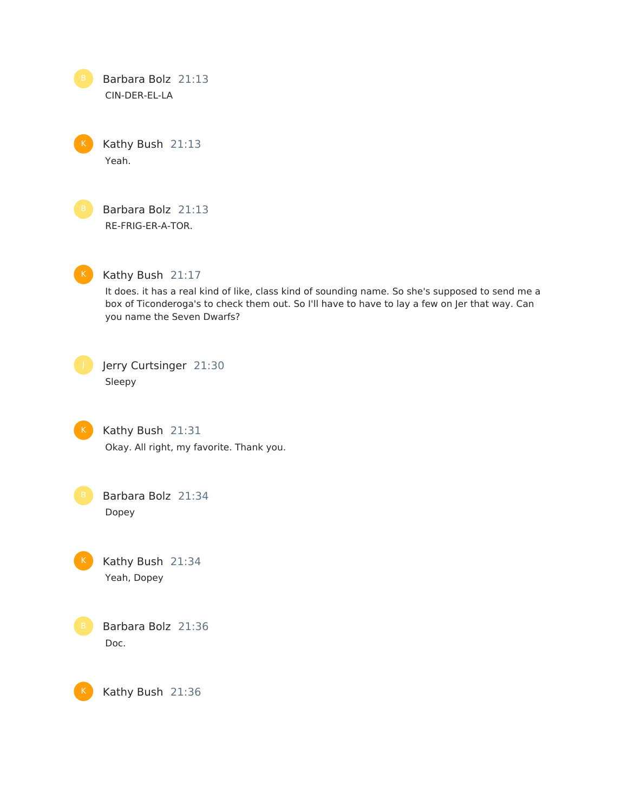Barbara Bolz 21:13 CIN-DER-EL-LA

Kathy Bush 21:13 Yeah.

Barbara Bolz 21:13 RE-FRIG-ER-A-TOR.

 $K$ 

Kathy Bush 21:17

It does. it has a real kind of like, class kind of sounding name. So she's supposed to send me a box of Ticonderoga's to check them out. So I'll have to have to lay a few on Jer that way. Can you name the Seven Dwarfs?

Jerry Curtsinger 21:30 Sleepy



K

Kathy Bush 21:31 Okay. All right, my favorite. Thank you.

Barbara Bolz 21:34 Dopey

Kathy Bush 21:34 Yeah, Dopey

Barbara Bolz 21:36 Doc.

Kathy Bush 21:36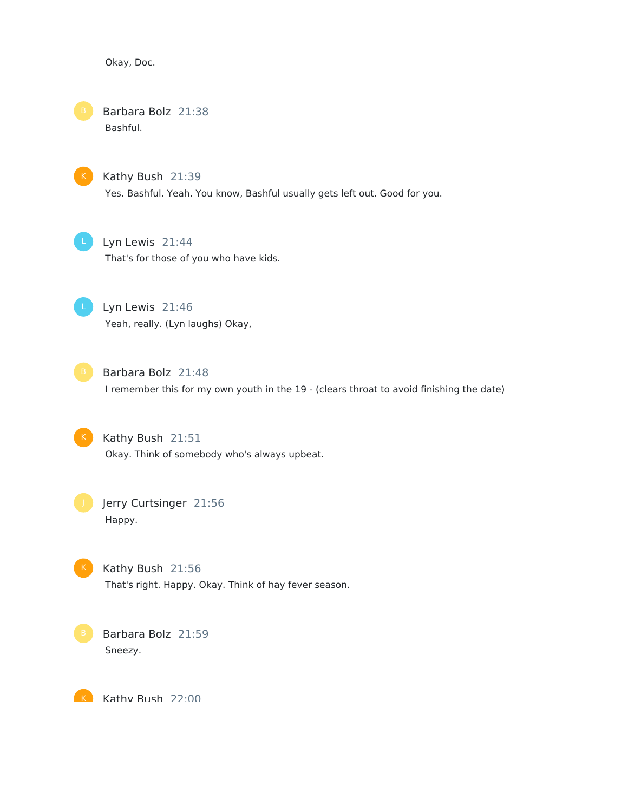Okay, Doc.

## Barbara Bolz 21:38 Bashful.

Kathy Bush 21:39 Yes. Bashful. Yeah. You know, Bashful usually gets left out. Good for you.



Lyn Lewis 21:44

That's for those of you who have kids.



Lyn Lewis 21:46 Yeah, really. (Lyn laughs) Okay,



Barbara Bolz 21:48 I remember this for my own youth in the 19 - (clears throat to avoid finishing the date)



Kathy Bush 21:51 Okay. Think of somebody who's always upbeat.



Jerry Curtsinger 21:56 Happy.



Kathy Bush 21:56 That's right. Happy. Okay. Think of hay fever season.



Barbara Bolz 21:59 Sneezy.

Kathy Rush 22:00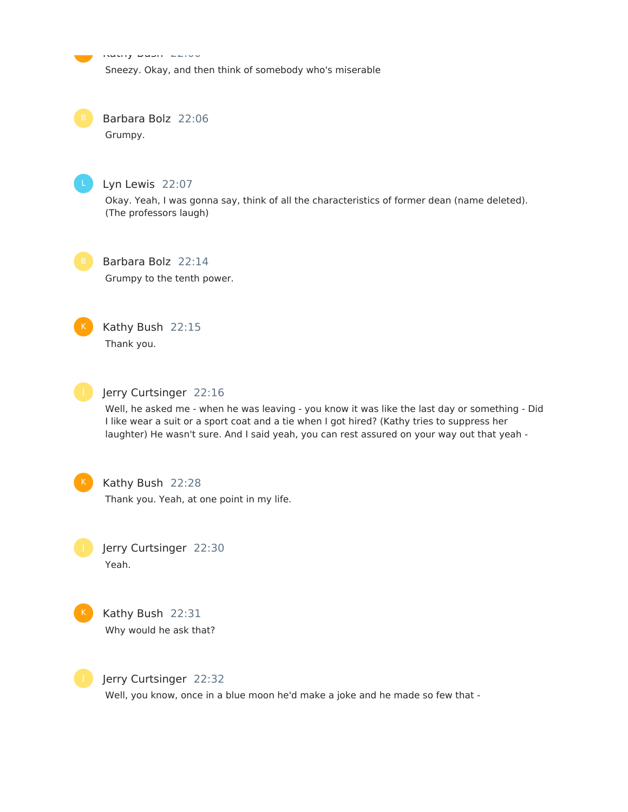Kathy Bush 22:00 Sneezy. Okay, and then think of somebody who's miserable K

Barbara Bolz 22:06 Grumpy.



Lyn Lewis 22:07

Okay. Yeah, I was gonna say, think of all the characteristics of former dean (name deleted). (The professors laugh)



Barbara Bolz 22:14 Grumpy to the tenth power.



Kathy Bush 22:15 Thank you.



#### Jerry Curtsinger 22:16

Well, he asked me - when he was leaving - you know it was like the last day or something - Did I like wear a suit or a sport coat and a tie when I got hired? (Kathy tries to suppress her laughter) He wasn't sure. And I said yeah, you can rest assured on your way out that yeah -



#### Kathy Bush 22:28

Thank you. Yeah, at one point in my life.

Jerry Curtsinger 22:30 Yeah.



Kathy Bush 22:31 Why would he ask that?



Jerry Curtsinger 22:32

Well, you know, once in a blue moon he'd make a joke and he made so few that -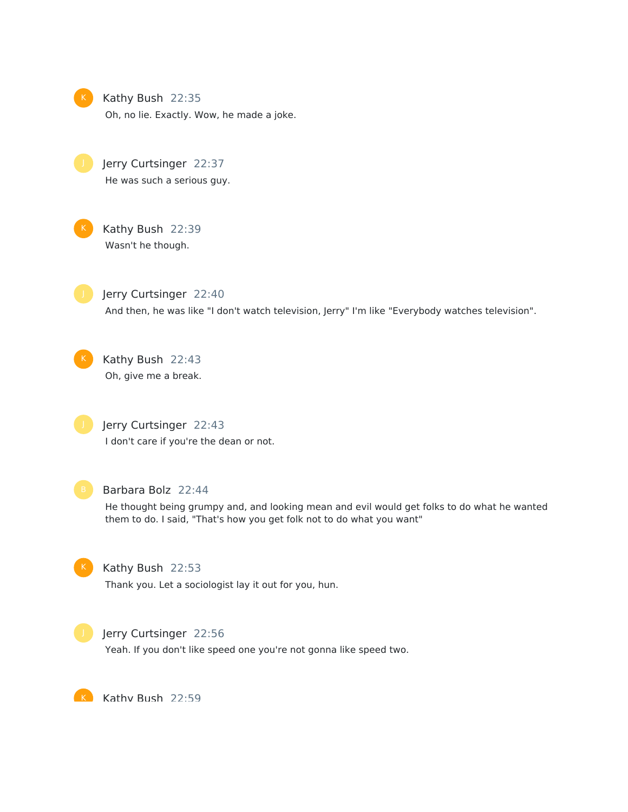

Kathy Bush 22:35

Oh, no lie. Exactly. Wow, he made a joke.

Jerry Curtsinger 22:37 He was such a serious guy.



Kathy Bush 22:39 Wasn't he though.



Jerry Curtsinger 22:40 And then, he was like "I don't watch television, Jerry" I'm like "Everybody watches television".

Kathy Bush 22:43 Oh, give me a break.

Jerry Curtsinger 22:43 I don't care if you're the dean or not.



#### Barbara Bolz 22:44

He thought being grumpy and, and looking mean and evil would get folks to do what he wanted them to do. I said, "That's how you get folk not to do what you want"



#### Kathy Bush 22:53

Thank you. Let a sociologist lay it out for you, hun.



#### Jerry Curtsinger 22:56

Yeah. If you don't like speed one you're not gonna like speed two.

K Kathy Rush 22:59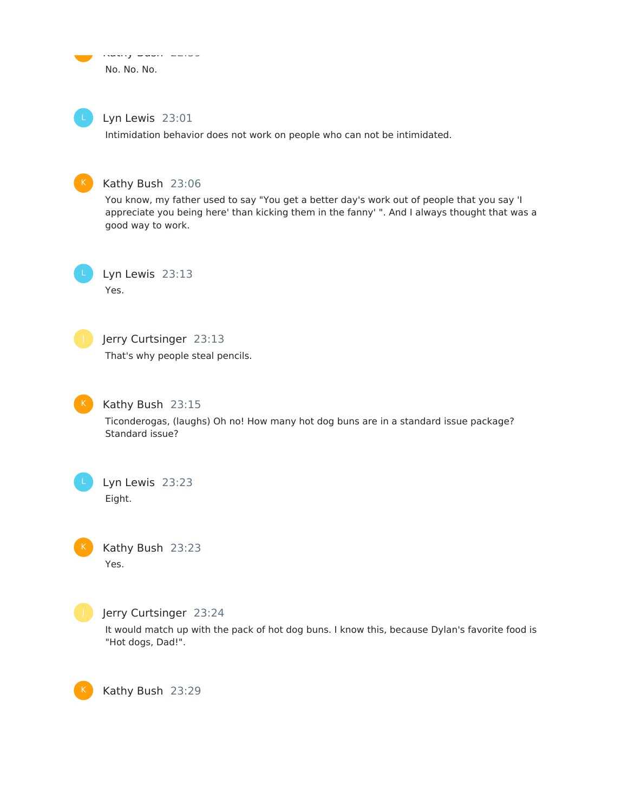Kathy Bush 22:59 No. No. No. <u>ka</u>



Lyn Lewis 23:01

Intimidation behavior does not work on people who can not be intimidated.



#### Kathy Bush 23:06

You know, my father used to say "You get a better day's work out of people that you say 'I appreciate you being here' than kicking them in the fanny' ". And I always thought that was a good way to work.



Lyn Lewis 23:13 Yes.



## Jerry Curtsinger 23:13

That's why people steal pencils.



#### Kathy Bush 23:15

Ticonderogas, (laughs) Oh no! How many hot dog buns are in a standard issue package? Standard issue?



Kathy Bush 23:23 Yes.



K

#### Jerry Curtsinger 23:24

It would match up with the pack of hot dog buns. I know this, because Dylan's favorite food is "Hot dogs, Dad!".

Kathy Bush 23:29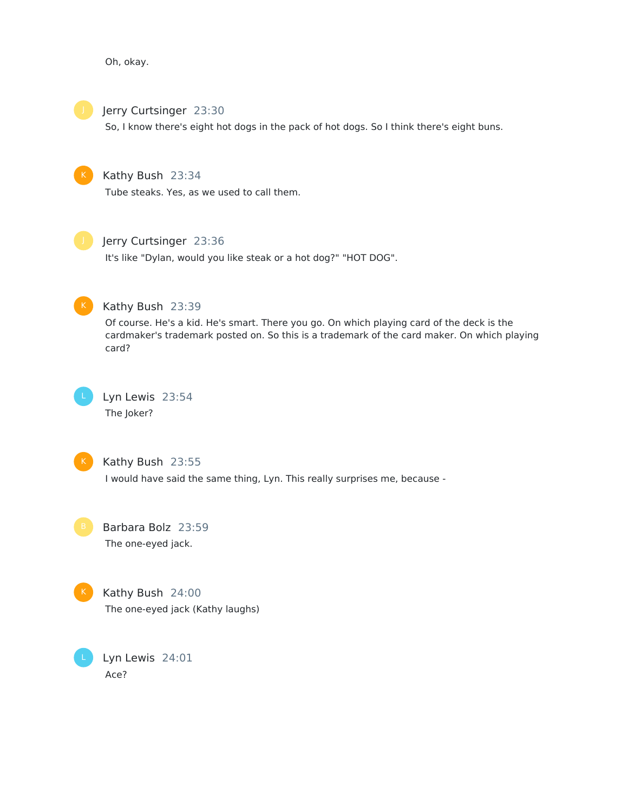Oh, okay.



Jerry Curtsinger 23:30

So, I know there's eight hot dogs in the pack of hot dogs. So I think there's eight buns.

## Kathy Bush 23:34

Tube steaks. Yes, as we used to call them.



## Jerry Curtsinger 23:36

It's like "Dylan, would you like steak or a hot dog?" "HOT DOG".



## Kathy Bush 23:39

Of course. He's a kid. He's smart. There you go. On which playing card of the deck is the cardmaker's trademark posted on. So this is a trademark of the card maker. On which playing card?



## Lyn Lewis 23:54 The Joker?



#### Kathy Bush 23:55

I would have said the same thing, Lyn. This really surprises me, because -

Barbara Bolz 23:59 The one-eyed jack.



## Kathy Bush 24:00

The one-eyed jack (Kathy laughs)

Lyn Lewis 24:01 Ace?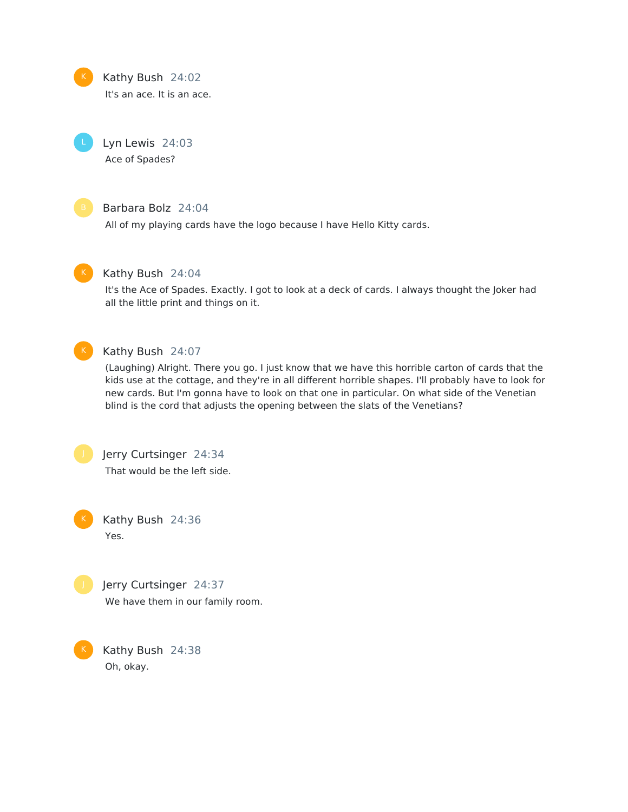

#### Kathy Bush 24:02

It's an ace. It is an ace.

Lyn Lewis 24:03 Ace of Spades?



### Barbara Bolz 24:04

All of my playing cards have the logo because I have Hello Kitty cards.



#### Kathy Bush 24:04

It's the Ace of Spades. Exactly. I got to look at a deck of cards. I always thought the Joker had all the little print and things on it.



### Kathy Bush 24:07

(Laughing) Alright. There you go. I just know that we have this horrible carton of cards that the kids use at the cottage, and they're in all different horrible shapes. I'll probably have to look for new cards. But I'm gonna have to look on that one in particular. On what side of the Venetian blind is the cord that adjusts the opening between the slats of the Venetians?



Jerry Curtsinger 24:34 That would be the left side.

Kathy Bush 24:36 Yes.



Jerry Curtsinger 24:37 We have them in our family room.

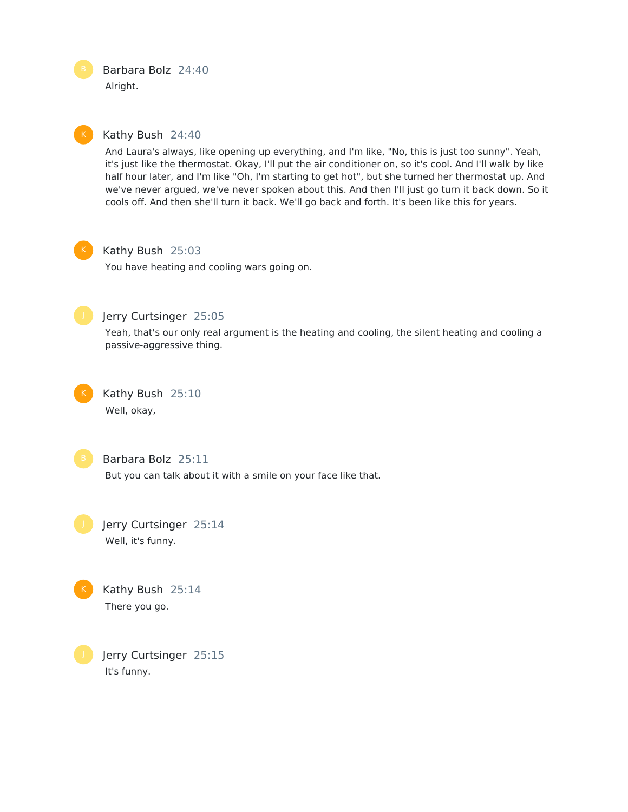Barbara Bolz 24:40 Alright.

#### Kathy Bush 24:40

And Laura's always, like opening up everything, and I'm like, "No, this is just too sunny". Yeah, it's just like the thermostat. Okay, I'll put the air conditioner on, so it's cool. And I'll walk by like half hour later, and I'm like "Oh, I'm starting to get hot", but she turned her thermostat up. And we've never argued, we've never spoken about this. And then I'll just go turn it back down. So it cools off. And then she'll turn it back. We'll go back and forth. It's been like this for years.



#### Kathy Bush 25:03

You have heating and cooling wars going on.



### Jerry Curtsinger 25:05

Yeah, that's our only real argument is the heating and cooling, the silent heating and cooling a passive-aggressive thing.

Kathy Bush 25:10 Well, okay,



#### Barbara Bolz 25:11

But you can talk about it with a smile on your face like that.

Jerry Curtsinger 25:14 Well, it's funny.



Jerry Curtsinger 25:15 It's funny.

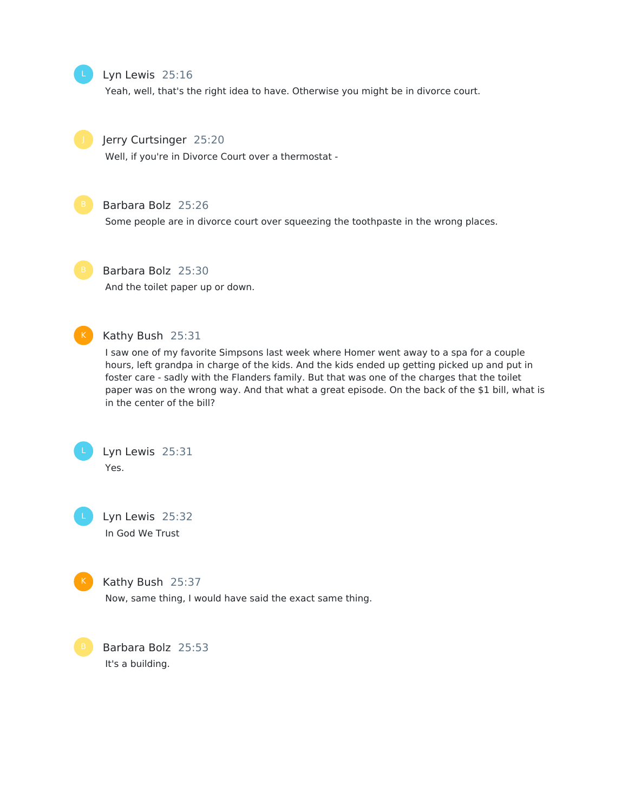#### Lyn Lewis 25:16

Yeah, well, that's the right idea to have. Otherwise you might be in divorce court.



#### Jerry Curtsinger 25:20

Well, if you're in Divorce Court over a thermostat -



## Barbara Bolz 25:26

Some people are in divorce court over squeezing the toothpaste in the wrong places.



## Barbara Bolz 25:30

And the toilet paper up or down.



#### Kathy Bush 25:31

I saw one of my favorite Simpsons last week where Homer went away to a spa for a couple hours, left grandpa in charge of the kids. And the kids ended up getting picked up and put in foster care - sadly with the Flanders family. But that was one of the charges that the toilet paper was on the wrong way. And that what a great episode. On the back of the \$1 bill, what is in the center of the bill?



Lyn Lewis 25:32 In God We Trust



## Kathy Bush 25:37

Now, same thing, I would have said the exact same thing.

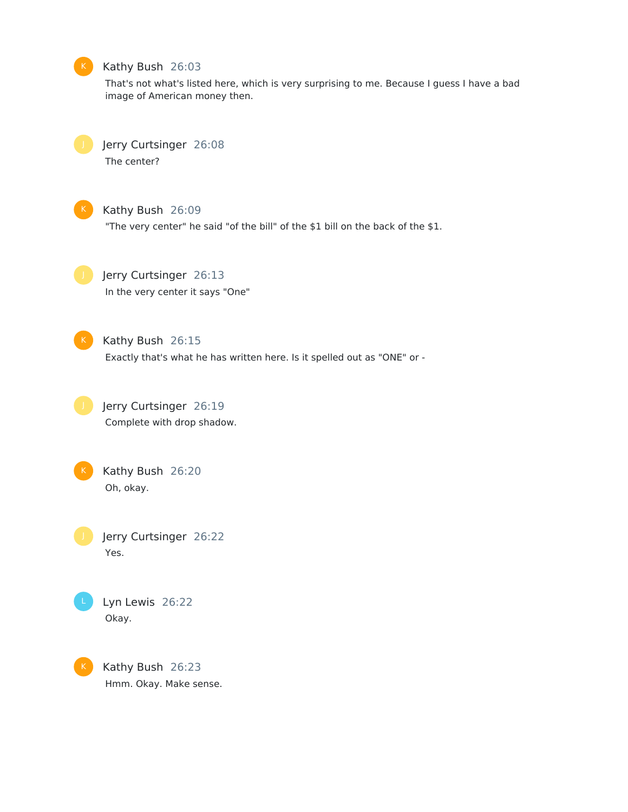#### Kathy Bush 26:03

That's not what's listed here, which is very surprising to me. Because I guess I have a bad image of American money then.



Jerry Curtsinger 26:08

The center?



#### Kathy Bush 26:09

"The very center" he said "of the bill" of the \$1 bill on the back of the \$1.



## Jerry Curtsinger 26:13

In the very center it says "One"



#### Kathy Bush 26:15

Exactly that's what he has written here. Is it spelled out as "ONE" or -





## Kathy Bush 26:20 Oh, okay.

Jerry Curtsinger 26:22 Yes.



Lyn Lewis 26:22 Okay.

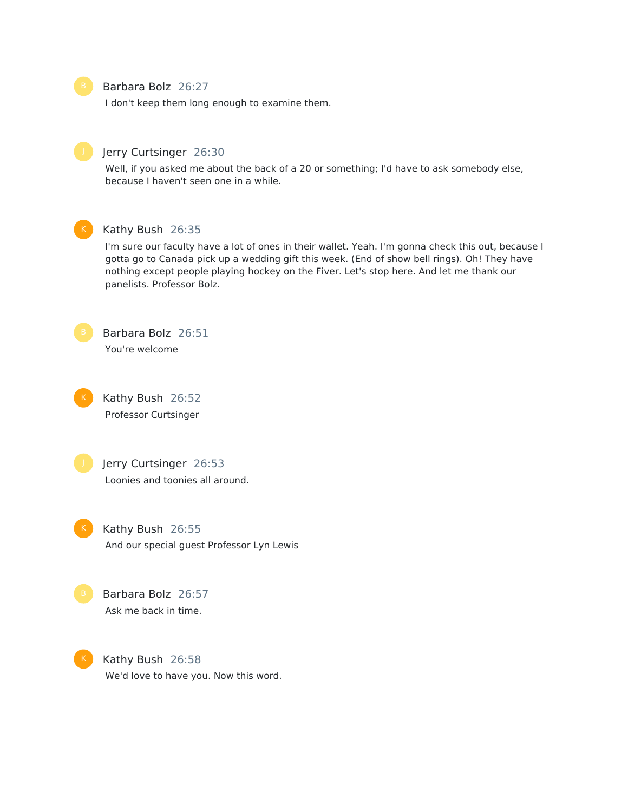

#### Barbara Bolz 26:27

I don't keep them long enough to examine them.



#### Jerry Curtsinger 26:30

Well, if you asked me about the back of a 20 or something; I'd have to ask somebody else, because I haven't seen one in a while.



#### Kathy Bush 26:35

I'm sure our faculty have a lot of ones in their wallet. Yeah. I'm gonna check this out, because I gotta go to Canada pick up a wedding gift this week. (End of show bell rings). Oh! They have nothing except people playing hockey on the Fiver. Let's stop here. And let me thank our panelists. Professor Bolz.



Barbara Bolz 26:51 You're welcome



Kathy Bush 26:52 Professor Curtsinger



K

Jerry Curtsinger 26:53 Loonies and toonies all around.

Kathy Bush 26:55 And our special guest Professor Lyn Lewis



Kathy Bush 26:58 We'd love to have you. Now this word.